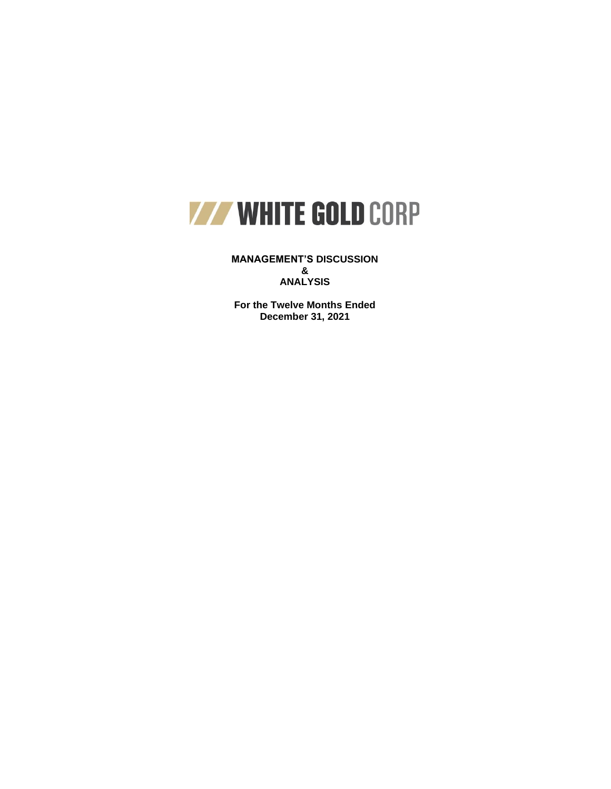

**MANAGEMENT'S DISCUSSION & ANALYSIS**

**For the Twelve Months Ended December 31, 2021**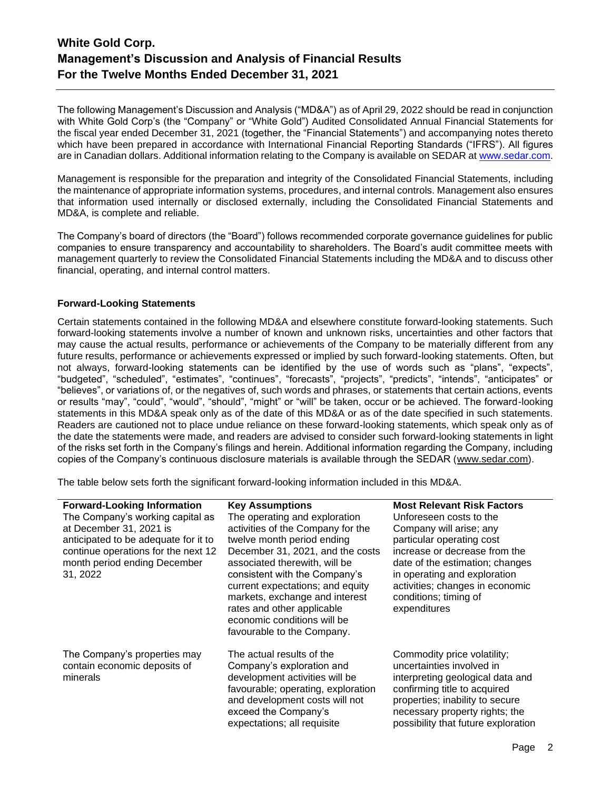The following Management's Discussion and Analysis ("MD&A") as of April 29, 2022 should be read in conjunction with White Gold Corp's (the "Company" or "White Gold") Audited Consolidated Annual Financial Statements for the fiscal year ended December 31, 2021 (together, the "Financial Statements") and accompanying notes thereto which have been prepared in accordance with International Financial Reporting Standards ("IFRS"). All figures are in Canadian dollars. Additional information relating to the Company is available on SEDAR at www.sedar.com.

Management is responsible for the preparation and integrity of the Consolidated Financial Statements, including the maintenance of appropriate information systems, procedures, and internal controls. Management also ensures that information used internally or disclosed externally, including the Consolidated Financial Statements and MD&A, is complete and reliable.

The Company's board of directors (the "Board") follows recommended corporate governance guidelines for public companies to ensure transparency and accountability to shareholders. The Board's audit committee meets with management quarterly to review the Consolidated Financial Statements including the MD&A and to discuss other financial, operating, and internal control matters.

# **Forward-Looking Statements**

Certain statements contained in the following MD&A and elsewhere constitute forward-looking statements. Such forward-looking statements involve a number of known and unknown risks, uncertainties and other factors that may cause the actual results, performance or achievements of the Company to be materially different from any future results, performance or achievements expressed or implied by such forward-looking statements. Often, but not always, forward-looking statements can be identified by the use of words such as "plans", "expects", "budgeted", "scheduled", "estimates", "continues", "forecasts", "projects", "predicts", "intends", "anticipates" or "believes", or variations of, or the negatives of, such words and phrases, or statements that certain actions, events or results "may", "could", "would", "should", "might" or "will" be taken, occur or be achieved. The forward-looking statements in this MD&A speak only as of the date of this MD&A or as of the date specified in such statements. Readers are cautioned not to place undue reliance on these forward-looking statements, which speak only as of the date the statements were made, and readers are advised to consider such forward-looking statements in light of the risks set forth in the Company's filings and herein. Additional information regarding the Company, including copies of the Company's continuous disclosure materials is available through the SEDAR [\(www.sedar.com\)](http://www.sedar.com/).

The table below sets forth the significant forward-looking information included in this MD&A.

| <b>Forward-Looking Information</b>   | <b>Key Assumptions</b>                                    | <b>Most Relevant Risk Factors</b>   |
|--------------------------------------|-----------------------------------------------------------|-------------------------------------|
| The Company's working capital as     | The operating and exploration                             | Unforeseen costs to the             |
| at December 31, 2021 is              | activities of the Company for the                         | Company will arise; any             |
| anticipated to be adequate for it to | twelve month period ending                                | particular operating cost           |
| continue operations for the next 12  | December 31, 2021, and the costs                          | increase or decrease from the       |
| month period ending December         | associated therewith, will be                             | date of the estimation; changes     |
| 31, 2022                             | consistent with the Company's                             | in operating and exploration        |
|                                      | current expectations; and equity                          | activities; changes in economic     |
|                                      | markets, exchange and interest                            | conditions; timing of               |
|                                      | rates and other applicable<br>economic conditions will be | expenditures                        |
|                                      | favourable to the Company.                                |                                     |
|                                      |                                                           |                                     |
| The Company's properties may         | The actual results of the                                 | Commodity price volatility;         |
| contain economic deposits of         | Company's exploration and                                 | uncertainties involved in           |
| minerals                             | development activities will be                            | interpreting geological data and    |
|                                      | favourable; operating, exploration                        | confirming title to acquired        |
|                                      | and development costs will not                            | properties; inability to secure     |
|                                      | exceed the Company's                                      | necessary property rights; the      |
|                                      | expectations; all requisite                               | possibility that future exploration |
|                                      |                                                           |                                     |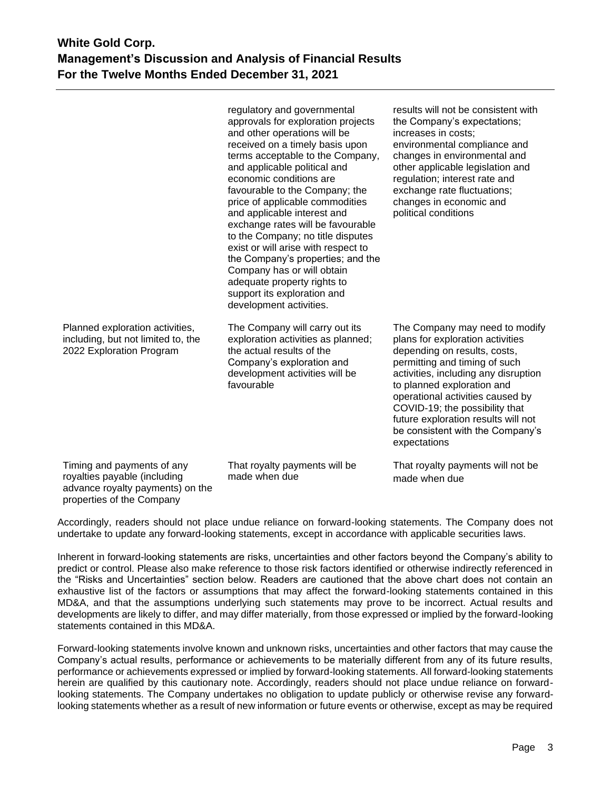|                                                                                                                             | regulatory and governmental<br>approvals for exploration projects<br>and other operations will be<br>received on a timely basis upon<br>terms acceptable to the Company,<br>and applicable political and<br>economic conditions are<br>favourable to the Company; the<br>price of applicable commodities<br>and applicable interest and<br>exchange rates will be favourable<br>to the Company; no title disputes<br>exist or will arise with respect to<br>the Company's properties; and the<br>Company has or will obtain<br>adequate property rights to<br>support its exploration and<br>development activities. | results will not be consistent with<br>the Company's expectations;<br>increases in costs;<br>environmental compliance and<br>changes in environmental and<br>other applicable legislation and<br>regulation; interest rate and<br>exchange rate fluctuations;<br>changes in economic and<br>political conditions                                                           |
|-----------------------------------------------------------------------------------------------------------------------------|----------------------------------------------------------------------------------------------------------------------------------------------------------------------------------------------------------------------------------------------------------------------------------------------------------------------------------------------------------------------------------------------------------------------------------------------------------------------------------------------------------------------------------------------------------------------------------------------------------------------|----------------------------------------------------------------------------------------------------------------------------------------------------------------------------------------------------------------------------------------------------------------------------------------------------------------------------------------------------------------------------|
| Planned exploration activities,<br>including, but not limited to, the<br>2022 Exploration Program                           | The Company will carry out its<br>exploration activities as planned;<br>the actual results of the<br>Company's exploration and<br>development activities will be<br>favourable                                                                                                                                                                                                                                                                                                                                                                                                                                       | The Company may need to modify<br>plans for exploration activities<br>depending on results, costs,<br>permitting and timing of such<br>activities, including any disruption<br>to planned exploration and<br>operational activities caused by<br>COVID-19; the possibility that<br>future exploration results will not<br>be consistent with the Company's<br>expectations |
| Timing and payments of any<br>royalties payable (including<br>advance royalty payments) on the<br>properties of the Company | That royalty payments will be<br>made when due                                                                                                                                                                                                                                                                                                                                                                                                                                                                                                                                                                       | That royalty payments will not be<br>made when due                                                                                                                                                                                                                                                                                                                         |

Accordingly, readers should not place undue reliance on forward-looking statements. The Company does not undertake to update any forward-looking statements, except in accordance with applicable securities laws.

Inherent in forward-looking statements are risks, uncertainties and other factors beyond the Company's ability to predict or control. Please also make reference to those risk factors identified or otherwise indirectly referenced in the "Risks and Uncertainties" section below. Readers are cautioned that the above chart does not contain an exhaustive list of the factors or assumptions that may affect the forward-looking statements contained in this MD&A, and that the assumptions underlying such statements may prove to be incorrect. Actual results and developments are likely to differ, and may differ materially, from those expressed or implied by the forward-looking statements contained in this MD&A.

Forward-looking statements involve known and unknown risks, uncertainties and other factors that may cause the Company's actual results, performance or achievements to be materially different from any of its future results, performance or achievements expressed or implied by forward-looking statements. All forward-looking statements herein are qualified by this cautionary note. Accordingly, readers should not place undue reliance on forwardlooking statements. The Company undertakes no obligation to update publicly or otherwise revise any forwardlooking statements whether as a result of new information or future events or otherwise, except as may be required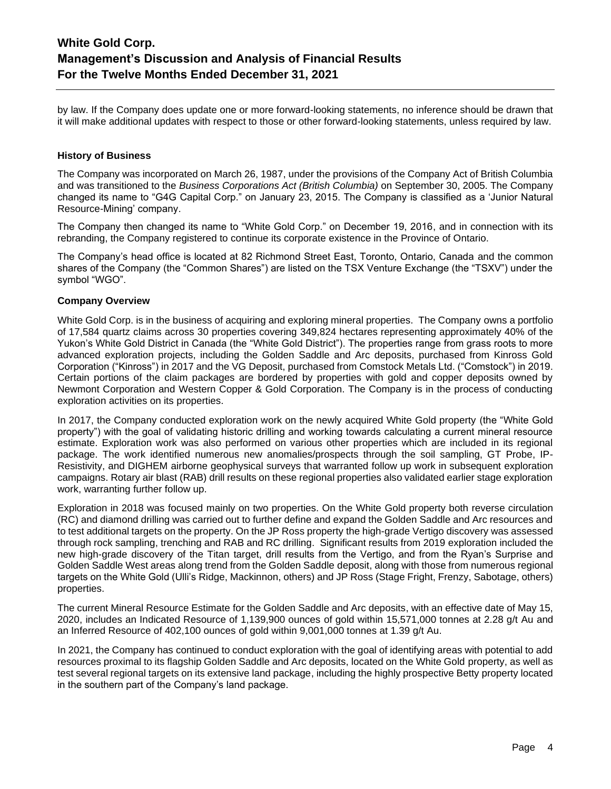by law. If the Company does update one or more forward-looking statements, no inference should be drawn that it will make additional updates with respect to those or other forward-looking statements, unless required by law.

# **History of Business**

The Company was incorporated on March 26, 1987, under the provisions of the Company Act of British Columbia and was transitioned to the *Business Corporations Act (British Columbia)* on September 30, 2005. The Company changed its name to "G4G Capital Corp." on January 23, 2015. The Company is classified as a 'Junior Natural Resource-Mining' company.

The Company then changed its name to "White Gold Corp." on December 19, 2016, and in connection with its rebranding, the Company registered to continue its corporate existence in the Province of Ontario.

The Company's head office is located at 82 Richmond Street East, Toronto, Ontario, Canada and the common shares of the Company (the "Common Shares") are listed on the TSX Venture Exchange (the "TSXV") under the symbol "WGO".

# **Company Overview**

White Gold Corp. is in the business of acquiring and exploring mineral properties. The Company owns a portfolio of 17,584 quartz claims across 30 properties covering 349,824 hectares representing approximately 40% of the Yukon's White Gold District in Canada (the "White Gold District"). The properties range from grass roots to more advanced exploration projects, including the Golden Saddle and Arc deposits, purchased from Kinross Gold Corporation ("Kinross") in 2017 and the VG Deposit, purchased from Comstock Metals Ltd. ("Comstock") in 2019. Certain portions of the claim packages are bordered by properties with gold and copper deposits owned by Newmont Corporation and Western Copper & Gold Corporation. The Company is in the process of conducting exploration activities on its properties.

In 2017, the Company conducted exploration work on the newly acquired White Gold property (the "White Gold property") with the goal of validating historic drilling and working towards calculating a current mineral resource estimate. Exploration work was also performed on various other properties which are included in its regional package. The work identified numerous new anomalies/prospects through the soil sampling, GT Probe, IP-Resistivity, and DIGHEM airborne geophysical surveys that warranted follow up work in subsequent exploration campaigns. Rotary air blast (RAB) drill results on these regional properties also validated earlier stage exploration work, warranting further follow up.

Exploration in 2018 was focused mainly on two properties. On the White Gold property both reverse circulation (RC) and diamond drilling was carried out to further define and expand the Golden Saddle and Arc resources and to test additional targets on the property. On the JP Ross property the high-grade Vertigo discovery was assessed through rock sampling, trenching and RAB and RC drilling. Significant results from 2019 exploration included the new high-grade discovery of the Titan target, drill results from the Vertigo, and from the Ryan's Surprise and Golden Saddle West areas along trend from the Golden Saddle deposit, along with those from numerous regional targets on the White Gold (Ulli's Ridge, Mackinnon, others) and JP Ross (Stage Fright, Frenzy, Sabotage, others) properties.

The current Mineral Resource Estimate for the Golden Saddle and Arc deposits, with an effective date of May 15, 2020, includes an Indicated Resource of 1,139,900 ounces of gold within 15,571,000 tonnes at 2.28 g/t Au and an Inferred Resource of 402,100 ounces of gold within 9,001,000 tonnes at 1.39 g/t Au.

In 2021, the Company has continued to conduct exploration with the goal of identifying areas with potential to add resources proximal to its flagship Golden Saddle and Arc deposits, located on the White Gold property, as well as test several regional targets on its extensive land package, including the highly prospective Betty property located in the southern part of the Company's land package.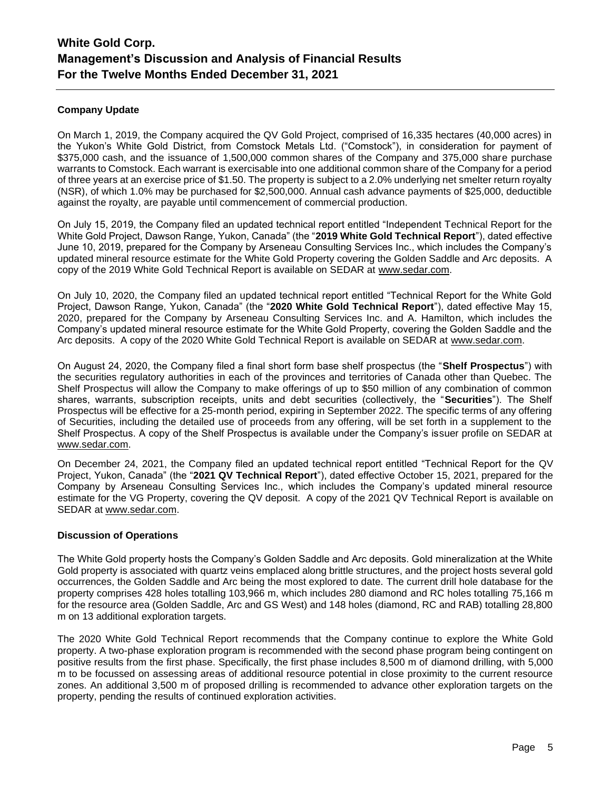# **Company Update**

On March 1, 2019, the Company acquired the QV Gold Project, comprised of 16,335 hectares (40,000 acres) in the Yukon's White Gold District, from Comstock Metals Ltd. ("Comstock"), in consideration for payment of \$375,000 cash, and the issuance of 1,500,000 common shares of the Company and 375,000 share purchase warrants to Comstock. Each warrant is exercisable into one additional common share of the Company for a period of three years at an exercise price of \$1.50. The property is subject to a 2.0% underlying net smelter return royalty (NSR), of which 1.0% may be purchased for \$2,500,000. Annual cash advance payments of \$25,000, deductible against the royalty, are payable until commencement of commercial production.

On July 15, 2019, the Company filed an updated technical report entitled "Independent Technical Report for the White Gold Project, Dawson Range, Yukon, Canada" (the "**2019 White Gold Technical Report**"), dated effective June 10, 2019, prepared for the Company by Arseneau Consulting Services Inc., which includes the Company's updated mineral resource estimate for the White Gold Property covering the Golden Saddle and Arc deposits. A copy of the 2019 White Gold Technical Report is available on SEDAR at [www.sedar.com.](http://www.sedar.com/)

On July 10, 2020, the Company filed an updated technical report entitled "Technical Report for the White Gold Project, Dawson Range, Yukon, Canada" (the "**2020 White Gold Technical Report**"), dated effective May 15, 2020, prepared for the Company by Arseneau Consulting Services Inc. and A. Hamilton, which includes the Company's updated mineral resource estimate for the White Gold Property, covering the Golden Saddle and the Arc deposits. A copy of the 2020 White Gold Technical Report is available on SEDAR at [www.sedar.com.](http://www.sedar.com/)

On August 24, 2020, the Company filed a final short form base shelf prospectus (the "**Shelf Prospectus**") with the securities regulatory authorities in each of the provinces and territories of Canada other than Quebec. The Shelf Prospectus will allow the Company to make offerings of up to \$50 million of any combination of common shares, warrants, subscription receipts, units and debt securities (collectively, the "**Securities**"). The Shelf Prospectus will be effective for a 25-month period, expiring in September 2022. The specific terms of any offering of Securities, including the detailed use of proceeds from any offering, will be set forth in a supplement to the Shelf Prospectus. A copy of the Shelf Prospectus is available under the Company's issuer profile on SEDAR at [www.sedar.com.](http://www.sedar.com/)

On December 24, 2021, the Company filed an updated technical report entitled "Technical Report for the QV Project, Yukon, Canada" (the "**2021 QV Technical Report**"), dated effective October 15, 2021, prepared for the Company by Arseneau Consulting Services Inc., which includes the Company's updated mineral resource estimate for the VG Property, covering the QV deposit. A copy of the 2021 QV Technical Report is available on SEDAR at [www.sedar.com.](http://www.sedar.com/)

# **Discussion of Operations**

The White Gold property hosts the Company's Golden Saddle and Arc deposits. Gold mineralization at the White Gold property is associated with quartz veins emplaced along brittle structures, and the project hosts several gold occurrences, the Golden Saddle and Arc being the most explored to date. The current drill hole database for the property comprises 428 holes totalling 103,966 m, which includes 280 diamond and RC holes totalling 75,166 m for the resource area (Golden Saddle, Arc and GS West) and 148 holes (diamond, RC and RAB) totalling 28,800 m on 13 additional exploration targets.

The 2020 White Gold Technical Report recommends that the Company continue to explore the White Gold property. A two-phase exploration program is recommended with the second phase program being contingent on positive results from the first phase. Specifically, the first phase includes 8,500 m of diamond drilling, with 5,000 m to be focussed on assessing areas of additional resource potential in close proximity to the current resource zones. An additional 3,500 m of proposed drilling is recommended to advance other exploration targets on the property, pending the results of continued exploration activities.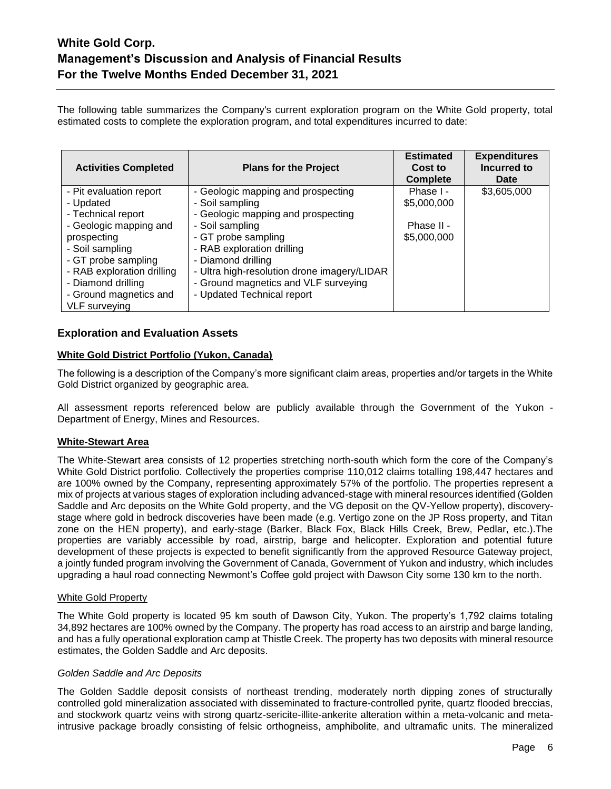The following table summarizes the Company's current exploration program on the White Gold property, total estimated costs to complete the exploration program, and total expenditures incurred to date:

| <b>Activities Completed</b> | <b>Plans for the Project</b>                | <b>Estimated</b><br>Cost to<br><b>Complete</b> | <b>Expenditures</b><br>Incurred to<br>Date |
|-----------------------------|---------------------------------------------|------------------------------------------------|--------------------------------------------|
| - Pit evaluation report     | - Geologic mapping and prospecting          | Phase I -                                      | \$3,605,000                                |
| - Updated                   | - Soil sampling                             | \$5,000,000                                    |                                            |
| - Technical report          | - Geologic mapping and prospecting          |                                                |                                            |
| - Geologic mapping and      | - Soil sampling                             | Phase II -                                     |                                            |
| prospecting                 | - GT probe sampling                         | \$5,000,000                                    |                                            |
| - Soil sampling             | - RAB exploration drilling                  |                                                |                                            |
| - GT probe sampling         | - Diamond drilling                          |                                                |                                            |
| - RAB exploration drilling  | - Ultra high-resolution drone imagery/LIDAR |                                                |                                            |
| - Diamond drilling          | - Ground magnetics and VLF surveying        |                                                |                                            |
| - Ground magnetics and      | - Updated Technical report                  |                                                |                                            |
| <b>VLF</b> surveying        |                                             |                                                |                                            |

# **Exploration and Evaluation Assets**

#### **White Gold District Portfolio (Yukon, Canada)**

The following is a description of the Company's more significant claim areas, properties and/or targets in the White Gold District organized by geographic area.

All assessment reports referenced below are publicly available through the Government of the Yukon - Department of Energy, Mines and Resources.

# **White-Stewart Area**

The White-Stewart area consists of 12 properties stretching north-south which form the core of the Company's White Gold District portfolio. Collectively the properties comprise 110,012 claims totalling 198,447 hectares and are 100% owned by the Company, representing approximately 57% of the portfolio. The properties represent a mix of projects at various stages of exploration including advanced-stage with mineral resources identified (Golden Saddle and Arc deposits on the White Gold property, and the VG deposit on the QV-Yellow property), discoverystage where gold in bedrock discoveries have been made (e.g. Vertigo zone on the JP Ross property, and Titan zone on the HEN property), and early-stage (Barker, Black Fox, Black Hills Creek, Brew, Pedlar, etc.).The properties are variably accessible by road, airstrip, barge and helicopter. Exploration and potential future development of these projects is expected to benefit significantly from the approved Resource Gateway project, a jointly funded program involving the Government of Canada, Government of Yukon and industry, which includes upgrading a haul road connecting Newmont's Coffee gold project with Dawson City some 130 km to the north.

#### White Gold Property

The White Gold property is located 95 km south of Dawson City, Yukon. The property's 1,792 claims totaling 34,892 hectares are 100% owned by the Company. The property has road access to an airstrip and barge landing, and has a fully operational exploration camp at Thistle Creek. The property has two deposits with mineral resource estimates, the Golden Saddle and Arc deposits.

#### *Golden Saddle and Arc Deposits*

The Golden Saddle deposit consists of northeast trending, moderately north dipping zones of structurally controlled gold mineralization associated with disseminated to fracture-controlled pyrite, quartz flooded breccias, and stockwork quartz veins with strong quartz-sericite-illite-ankerite alteration within a meta-volcanic and metaintrusive package broadly consisting of felsic orthogneiss, amphibolite, and ultramafic units. The mineralized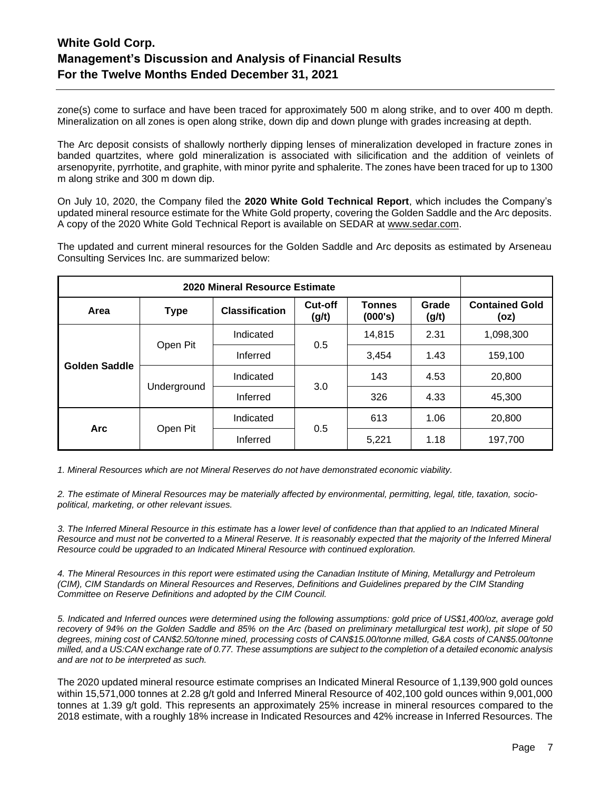zone(s) come to surface and have been traced for approximately 500 m along strike, and to over 400 m depth. Mineralization on all zones is open along strike, down dip and down plunge with grades increasing at depth.

The Arc deposit consists of shallowly northerly dipping lenses of mineralization developed in fracture zones in banded quartzites, where gold mineralization is associated with silicification and the addition of veinlets of arsenopyrite, pyrrhotite, and graphite, with minor pyrite and sphalerite. The zones have been traced for up to 1300 m along strike and 300 m down dip.

On July 10, 2020, the Company filed the **2020 White Gold Technical Report**, which includes the Company's updated mineral resource estimate for the White Gold property, covering the Golden Saddle and the Arc deposits. A copy of the 2020 White Gold Technical Report is available on SEDAR at [www.sedar.com.](http://www.sedar.com/)

The updated and current mineral resources for the Golden Saddle and Arc deposits as estimated by Arseneau Consulting Services Inc. are summarized below:

| 2020 Mineral Resource Estimate |             |                       |                  |                          |                |                               |
|--------------------------------|-------------|-----------------------|------------------|--------------------------|----------------|-------------------------------|
| Area                           | <b>Type</b> | <b>Classification</b> | Cut-off<br>(g/t) | <b>Tonnes</b><br>(000's) | Grade<br>(g/t) | <b>Contained Gold</b><br>(oz) |
|                                |             | Indicated             |                  | 14,815                   | 2.31           | 1,098,300                     |
| Open Pit                       | Inferred    | 0.5                   | 3,454            | 1.43                     | 159,100        |                               |
| <b>Golden Saddle</b>           |             | Indicated             |                  | 143                      | 4.53           | 20,800                        |
|                                | Underground | Inferred              | 3.0              | 326                      | 4.33           | 45,300                        |
|                                |             | Indicated             |                  | 613                      | 1.06           | 20,800                        |
| <b>Arc</b>                     | Open Pit    | 0.5<br>Inferred       |                  | 5,221                    | 1.18           | 197,700                       |

*1. Mineral Resources which are not Mineral Reserves do not have demonstrated economic viability.*

*2. The estimate of Mineral Resources may be materially affected by environmental, permitting, legal, title, taxation, sociopolitical, marketing, or other relevant issues.*

*3. The Inferred Mineral Resource in this estimate has a lower level of confidence than that applied to an Indicated Mineral Resource and must not be converted to a Mineral Reserve. It is reasonably expected that the majority of the Inferred Mineral Resource could be upgraded to an Indicated Mineral Resource with continued exploration.*

*4. The Mineral Resources in this report were estimated using the Canadian Institute of Mining, Metallurgy and Petroleum (CIM), CIM Standards on Mineral Resources and Reserves, Definitions and Guidelines prepared by the CIM Standing Committee on Reserve Definitions and adopted by the CIM Council.*

*5. Indicated and Inferred ounces were determined using the following assumptions: gold price of US\$1,400/oz, average gold recovery of 94% on the Golden Saddle and 85% on the Arc (based on preliminary metallurgical test work), pit slope of 50 degrees, mining cost of CAN\$2.50/tonne mined, processing costs of CAN\$15.00/tonne milled, G&A costs of CAN\$5.00/tonne milled, and a US:CAN exchange rate of 0.77. These assumptions are subject to the completion of a detailed economic analysis and are not to be interpreted as such.*

The 2020 updated mineral resource estimate comprises an Indicated Mineral Resource of 1,139,900 gold ounces within 15,571,000 tonnes at 2.28 g/t gold and Inferred Mineral Resource of 402,100 gold ounces within 9,001,000 tonnes at 1.39 g/t gold. This represents an approximately 25% increase in mineral resources compared to the 2018 estimate, with a roughly 18% increase in Indicated Resources and 42% increase in Inferred Resources. The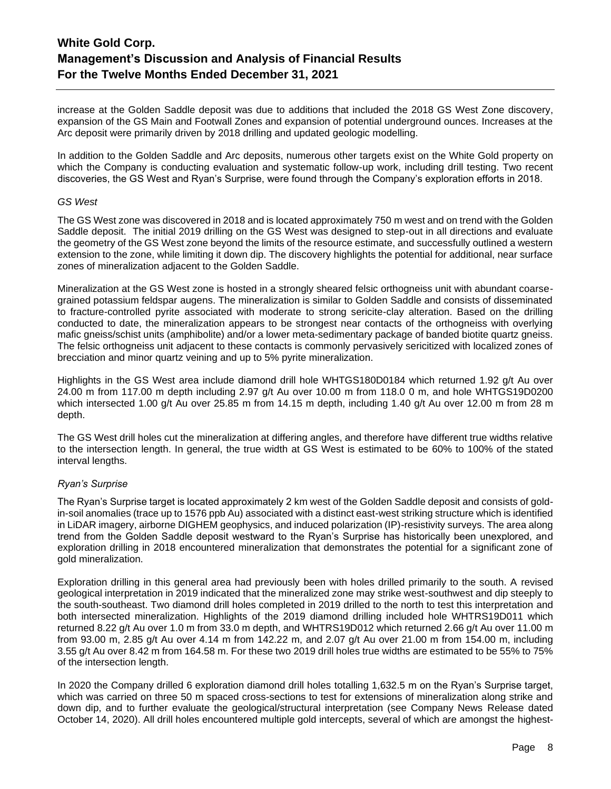increase at the Golden Saddle deposit was due to additions that included the 2018 GS West Zone discovery, expansion of the GS Main and Footwall Zones and expansion of potential underground ounces. Increases at the Arc deposit were primarily driven by 2018 drilling and updated geologic modelling.

In addition to the Golden Saddle and Arc deposits, numerous other targets exist on the White Gold property on which the Company is conducting evaluation and systematic follow-up work, including drill testing. Two recent discoveries, the GS West and Ryan's Surprise, were found through the Company's exploration efforts in 2018.

# *GS West*

The GS West zone was discovered in 2018 and is located approximately 750 m west and on trend with the Golden Saddle deposit. The initial 2019 drilling on the GS West was designed to step-out in all directions and evaluate the geometry of the GS West zone beyond the limits of the resource estimate, and successfully outlined a western extension to the zone, while limiting it down dip. The discovery highlights the potential for additional, near surface zones of mineralization adjacent to the Golden Saddle.

Mineralization at the GS West zone is hosted in a strongly sheared felsic orthogneiss unit with abundant coarsegrained potassium feldspar augens. The mineralization is similar to Golden Saddle and consists of disseminated to fracture-controlled pyrite associated with moderate to strong sericite-clay alteration. Based on the drilling conducted to date, the mineralization appears to be strongest near contacts of the orthogneiss with overlying mafic gneiss/schist units (amphibolite) and/or a lower meta-sedimentary package of banded biotite quartz gneiss. The felsic orthogneiss unit adjacent to these contacts is commonly pervasively sericitized with localized zones of brecciation and minor quartz veining and up to 5% pyrite mineralization.

Highlights in the GS West area include diamond drill hole WHTGS180D0184 which returned 1.92 g/t Au over 24.00 m from 117.00 m depth including 2.97 g/t Au over 10.00 m from 118.0 0 m, and hole WHTGS19D0200 which intersected 1.00 g/t Au over 25.85 m from 14.15 m depth, including 1.40 g/t Au over 12.00 m from 28 m depth.

The GS West drill holes cut the mineralization at differing angles, and therefore have different true widths relative to the intersection length. In general, the true width at GS West is estimated to be 60% to 100% of the stated interval lengths.

# *Ryan's Surprise*

The Ryan's Surprise target is located approximately 2 km west of the Golden Saddle deposit and consists of goldin-soil anomalies (trace up to 1576 ppb Au) associated with a distinct east-west striking structure which is identified in LiDAR imagery, airborne DIGHEM geophysics, and induced polarization (IP)-resistivity surveys. The area along trend from the Golden Saddle deposit westward to the Ryan's Surprise has historically been unexplored, and exploration drilling in 2018 encountered mineralization that demonstrates the potential for a significant zone of gold mineralization.

Exploration drilling in this general area had previously been with holes drilled primarily to the south. A revised geological interpretation in 2019 indicated that the mineralized zone may strike west-southwest and dip steeply to the south-southeast. Two diamond drill holes completed in 2019 drilled to the north to test this interpretation and both intersected mineralization. Highlights of the 2019 diamond drilling included hole WHTRS19D011 which returned 8.22 g/t Au over 1.0 m from 33.0 m depth, and WHTRS19D012 which returned 2.66 g/t Au over 11.00 m from 93.00 m, 2.85 g/t Au over 4.14 m from 142.22 m, and 2.07 g/t Au over 21.00 m from 154.00 m, including 3.55 g/t Au over 8.42 m from 164.58 m. For these two 2019 drill holes true widths are estimated to be 55% to 75% of the intersection length.

In 2020 the Company drilled 6 exploration diamond drill holes totalling 1,632.5 m on the Ryan's Surprise target, which was carried on three 50 m spaced cross-sections to test for extensions of mineralization along strike and down dip, and to further evaluate the geological/structural interpretation (see Company News Release dated October 14, 2020). All drill holes encountered multiple gold intercepts, several of which are amongst the highest-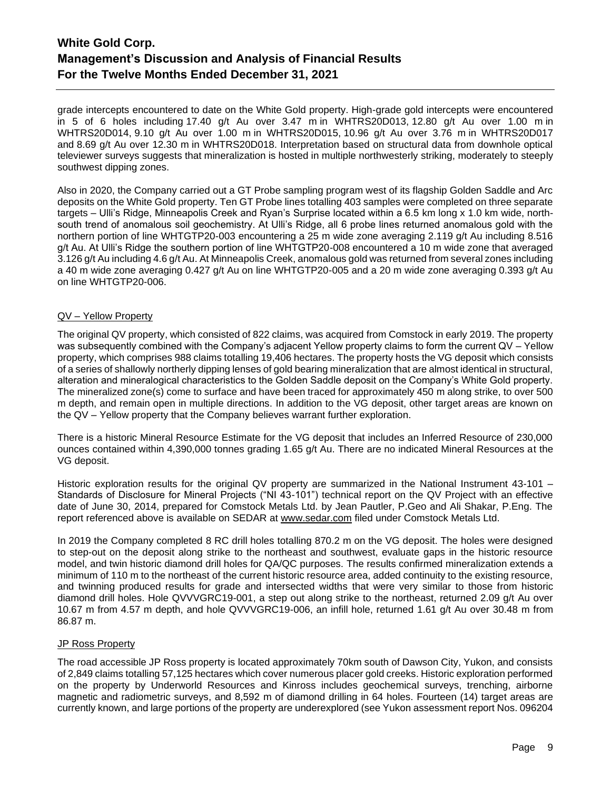grade intercepts encountered to date on the White Gold property. High-grade gold intercepts were encountered in 5 of 6 holes including 17.40 g/t Au over 3.47 m in WHTRS20D013, 12.80 g/t Au over 1.00 m in WHTRS20D014, 9.10 g/t Au over 1.00 m in WHTRS20D015, 10.96 g/t Au over 3.76 m in WHTRS20D017 and 8.69 g/t Au over 12.30 m in WHTRS20D018. Interpretation based on structural data from downhole optical televiewer surveys suggests that mineralization is hosted in multiple northwesterly striking, moderately to steeply southwest dipping zones.

Also in 2020, the Company carried out a GT Probe sampling program west of its flagship Golden Saddle and Arc deposits on the White Gold property. Ten GT Probe lines totalling 403 samples were completed on three separate targets – Ulli's Ridge, Minneapolis Creek and Ryan's Surprise located within a 6.5 km long x 1.0 km wide, northsouth trend of anomalous soil geochemistry. At Ulli's Ridge, all 6 probe lines returned anomalous gold with the northern portion of line WHTGTP20-003 encountering a 25 m wide zone averaging 2.119 g/t Au including 8.516 g/t Au. At Ulli's Ridge the southern portion of line WHTGTP20-008 encountered a 10 m wide zone that averaged 3.126 g/t Au including 4.6 g/t Au. At Minneapolis Creek, anomalous gold was returned from several zones including a 40 m wide zone averaging 0.427 g/t Au on line WHTGTP20-005 and a 20 m wide zone averaging 0.393 g/t Au on line WHTGTP20-006.

# QV – Yellow Property

The original QV property, which consisted of 822 claims, was acquired from Comstock in early 2019. The property was subsequently combined with the Company's adjacent Yellow property claims to form the current QV – Yellow property, which comprises 988 claims totalling 19,406 hectares. The property hosts the VG deposit which consists of a series of shallowly northerly dipping lenses of gold bearing mineralization that are almost identical in structural, alteration and mineralogical characteristics to the Golden Saddle deposit on the Company's White Gold property. The mineralized zone(s) come to surface and have been traced for approximately 450 m along strike, to over 500 m depth, and remain open in multiple directions. In addition to the VG deposit, other target areas are known on the QV – Yellow property that the Company believes warrant further exploration.

There is a historic Mineral Resource Estimate for the VG deposit that includes an Inferred Resource of 230,000 ounces contained within 4,390,000 tonnes grading 1.65 g/t Au. There are no indicated Mineral Resources at the VG deposit.

Historic exploration results for the original QV property are summarized in the National Instrument 43-101 – Standards of Disclosure for Mineral Projects ("NI 43-101") technical report on the QV Project with an effective date of June 30, 2014, prepared for Comstock Metals Ltd. by Jean Pautler, P.Geo and Ali Shakar, P.Eng. The report referenced above is available on SEDAR at [www.sedar.com](http://www.sedar.com/) filed under Comstock Metals Ltd.

In 2019 the Company completed 8 RC drill holes totalling 870.2 m on the VG deposit. The holes were designed to step-out on the deposit along strike to the northeast and southwest, evaluate gaps in the historic resource model, and twin historic diamond drill holes for QA/QC purposes. The results confirmed mineralization extends a minimum of 110 m to the northeast of the current historic resource area, added continuity to the existing resource, and twinning produced results for grade and intersected widths that were very similar to those from historic diamond drill holes. Hole QVVVGRC19-001, a step out along strike to the northeast, returned 2.09 g/t Au over 10.67 m from 4.57 m depth, and hole QVVVGRC19-006, an infill hole, returned 1.61 g/t Au over 30.48 m from 86.87 m.

# JP Ross Property

The road accessible JP Ross property is located approximately 70km south of Dawson City, Yukon, and consists of 2,849 claims totalling 57,125 hectares which cover numerous placer gold creeks. Historic exploration performed on the property by Underworld Resources and Kinross includes geochemical surveys, trenching, airborne magnetic and radiometric surveys, and 8,592 m of diamond drilling in 64 holes. Fourteen (14) target areas are currently known, and large portions of the property are underexplored (see Yukon assessment report Nos. 096204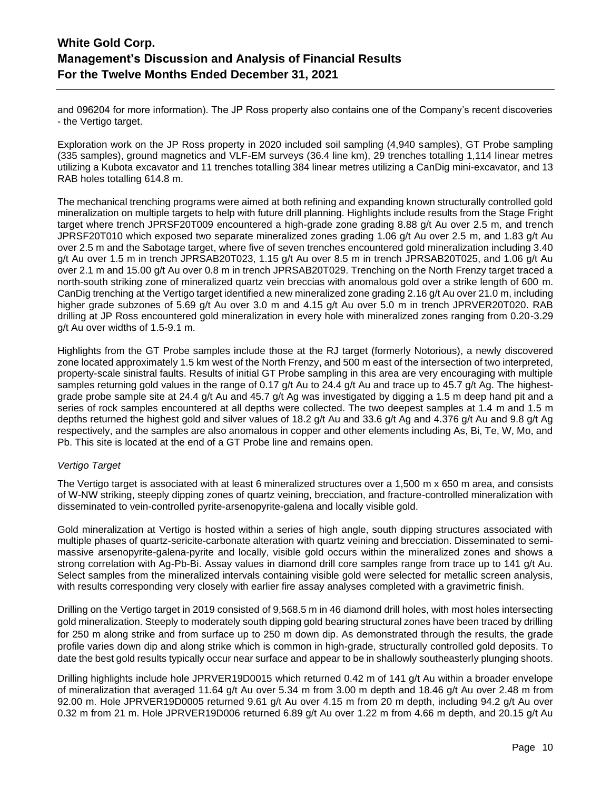and 096204 for more information). The JP Ross property also contains one of the Company's recent discoveries - the Vertigo target.

Exploration work on the JP Ross property in 2020 included soil sampling (4,940 samples), GT Probe sampling (335 samples), ground magnetics and VLF-EM surveys (36.4 line km), 29 trenches totalling 1,114 linear metres utilizing a Kubota excavator and 11 trenches totalling 384 linear metres utilizing a CanDig mini-excavator, and 13 RAB holes totalling 614.8 m.

The mechanical trenching programs were aimed at both refining and expanding known structurally controlled gold mineralization on multiple targets to help with future drill planning. Highlights include results from the Stage Fright target where trench JPRSF20T009 encountered a high-grade zone grading 8.88 g/t Au over 2.5 m, and trench JPRSF20T010 which exposed two separate mineralized zones grading 1.06 g/t Au over 2.5 m, and 1.83 g/t Au over 2.5 m and the Sabotage target, where five of seven trenches encountered gold mineralization including 3.40 g/t Au over 1.5 m in trench JPRSAB20T023, 1.15 g/t Au over 8.5 m in trench JPRSAB20T025, and 1.06 g/t Au over 2.1 m and 15.00 g/t Au over 0.8 m in trench JPRSAB20T029. Trenching on the North Frenzy target traced a north-south striking zone of mineralized quartz vein breccias with anomalous gold over a strike length of 600 m. CanDig trenching at the Vertigo target identified a new mineralized zone grading 2.16 g/t Au over 21.0 m, including higher grade subzones of 5.69 g/t Au over 3.0 m and 4.15 g/t Au over 5.0 m in trench JPRVER20T020. RAB drilling at JP Ross encountered gold mineralization in every hole with mineralized zones ranging from 0.20-3.29 g/t Au over widths of 1.5-9.1 m.

Highlights from the GT Probe samples include those at the RJ target (formerly Notorious), a newly discovered zone located approximately 1.5 km west of the North Frenzy, and 500 m east of the intersection of two interpreted, property-scale sinistral faults. Results of initial GT Probe sampling in this area are very encouraging with multiple samples returning gold values in the range of 0.17 g/t Au to 24.4 g/t Au and trace up to 45.7 g/t Ag. The highestgrade probe sample site at 24.4 g/t Au and 45.7 g/t Ag was investigated by digging a 1.5 m deep hand pit and a series of rock samples encountered at all depths were collected. The two deepest samples at 1.4 m and 1.5 m depths returned the highest gold and silver values of 18.2 g/t Au and 33.6 g/t Ag and 4.376 g/t Au and 9.8 g/t Ag respectively, and the samples are also anomalous in copper and other elements including As, Bi, Te, W, Mo, and Pb. This site is located at the end of a GT Probe line and remains open.

# *Vertigo Target*

The Vertigo target is associated with at least 6 mineralized structures over a 1,500 m x 650 m area, and consists of W-NW striking, steeply dipping zones of quartz veining, brecciation, and fracture-controlled mineralization with disseminated to vein-controlled pyrite-arsenopyrite-galena and locally visible gold.

Gold mineralization at Vertigo is hosted within a series of high angle, south dipping structures associated with multiple phases of quartz-sericite-carbonate alteration with quartz veining and brecciation. Disseminated to semimassive arsenopyrite-galena-pyrite and locally, visible gold occurs within the mineralized zones and shows a strong correlation with Ag-Pb-Bi. Assay values in diamond drill core samples range from trace up to 141 g/t Au. Select samples from the mineralized intervals containing visible gold were selected for metallic screen analysis, with results corresponding very closely with earlier fire assay analyses completed with a gravimetric finish.

Drilling on the Vertigo target in 2019 consisted of 9,568.5 m in 46 diamond drill holes, with most holes intersecting gold mineralization. Steeply to moderately south dipping gold bearing structural zones have been traced by drilling for 250 m along strike and from surface up to 250 m down dip. As demonstrated through the results, the grade profile varies down dip and along strike which is common in high-grade, structurally controlled gold deposits. To date the best gold results typically occur near surface and appear to be in shallowly southeasterly plunging shoots.

Drilling highlights include hole JPRVER19D0015 which returned 0.42 m of 141 g/t Au within a broader envelope of mineralization that averaged 11.64 g/t Au over 5.34 m from 3.00 m depth and 18.46 g/t Au over 2.48 m from 92.00 m. Hole JPRVER19D0005 returned 9.61 g/t Au over 4.15 m from 20 m depth, including 94.2 g/t Au over 0.32 m from 21 m. Hole JPRVER19D006 returned 6.89 g/t Au over 1.22 m from 4.66 m depth, and 20.15 g/t Au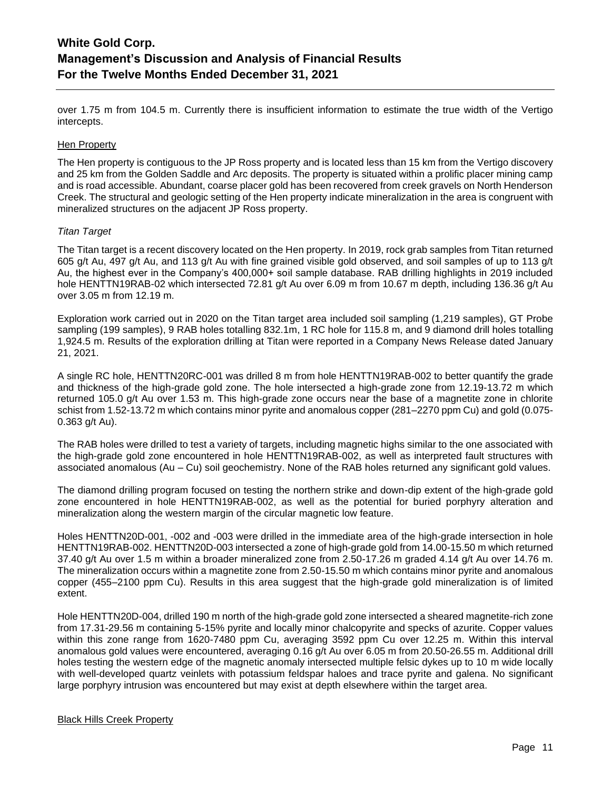over 1.75 m from 104.5 m. Currently there is insufficient information to estimate the true width of the Vertigo intercepts.

# Hen Property

The Hen property is contiguous to the JP Ross property and is located less than 15 km from the Vertigo discovery and 25 km from the Golden Saddle and Arc deposits. The property is situated within a prolific placer mining camp and is road accessible. Abundant, coarse placer gold has been recovered from creek gravels on North Henderson Creek. The structural and geologic setting of the Hen property indicate mineralization in the area is congruent with mineralized structures on the adjacent JP Ross property.

# *Titan Target*

The Titan target is a recent discovery located on the Hen property. In 2019, rock grab samples from Titan returned 605 g/t Au, 497 g/t Au, and 113 g/t Au with fine grained visible gold observed, and soil samples of up to 113 g/t Au, the highest ever in the Company's 400,000+ soil sample database. RAB drilling highlights in 2019 included hole HENTTN19RAB-02 which intersected 72.81 g/t Au over 6.09 m from 10.67 m depth, including 136.36 g/t Au over 3.05 m from 12.19 m.

Exploration work carried out in 2020 on the Titan target area included soil sampling (1,219 samples), GT Probe sampling (199 samples), 9 RAB holes totalling 832.1m, 1 RC hole for 115.8 m, and 9 diamond drill holes totalling 1,924.5 m. Results of the exploration drilling at Titan were reported in a Company News Release dated January 21, 2021.

A single RC hole, HENTTN20RC-001 was drilled 8 m from hole HENTTN19RAB-002 to better quantify the grade and thickness of the high-grade gold zone. The hole intersected a high-grade zone from 12.19-13.72 m which returned 105.0 g/t Au over 1.53 m. This high-grade zone occurs near the base of a magnetite zone in chlorite schist from 1.52-13.72 m which contains minor pyrite and anomalous copper (281–2270 ppm Cu) and gold (0.075- 0.363 g/t Au).

The RAB holes were drilled to test a variety of targets, including magnetic highs similar to the one associated with the high-grade gold zone encountered in hole HENTTN19RAB-002, as well as interpreted fault structures with associated anomalous (Au – Cu) soil geochemistry. None of the RAB holes returned any significant gold values.

The diamond drilling program focused on testing the northern strike and down-dip extent of the high-grade gold zone encountered in hole HENTTN19RAB-002, as well as the potential for buried porphyry alteration and mineralization along the western margin of the circular magnetic low feature.

Holes HENTTN20D-001, -002 and -003 were drilled in the immediate area of the high-grade intersection in hole HENTTN19RAB-002. HENTTN20D-003 intersected a zone of high-grade gold from 14.00-15.50 m which returned 37.40 g/t Au over 1.5 m within a broader mineralized zone from 2.50-17.26 m graded 4.14 g/t Au over 14.76 m. The mineralization occurs within a magnetite zone from 2.50-15.50 m which contains minor pyrite and anomalous copper (455–2100 ppm Cu). Results in this area suggest that the high-grade gold mineralization is of limited extent.

Hole HENTTN20D-004, drilled 190 m north of the high-grade gold zone intersected a sheared magnetite-rich zone from 17.31-29.56 m containing 5-15% pyrite and locally minor chalcopyrite and specks of azurite. Copper values within this zone range from 1620-7480 ppm Cu, averaging 3592 ppm Cu over 12.25 m. Within this interval anomalous gold values were encountered, averaging 0.16 g/t Au over 6.05 m from 20.50-26.55 m. Additional drill holes testing the western edge of the magnetic anomaly intersected multiple felsic dykes up to 10 m wide locally with well-developed quartz veinlets with potassium feldspar haloes and trace pyrite and galena. No significant large porphyry intrusion was encountered but may exist at depth elsewhere within the target area.

# Black Hills Creek Property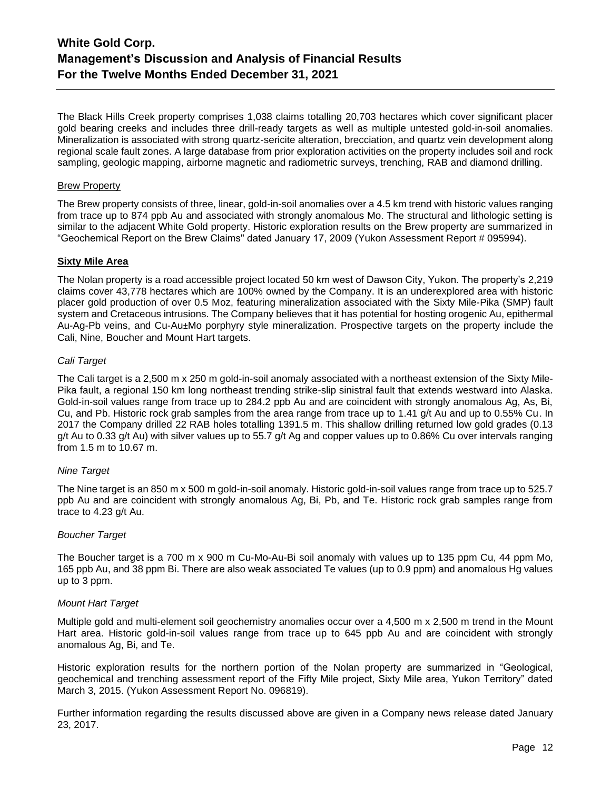The Black Hills Creek property comprises 1,038 claims totalling 20,703 hectares which cover significant placer gold bearing creeks and includes three drill-ready targets as well as multiple untested gold-in-soil anomalies. Mineralization is associated with strong quartz-sericite alteration, brecciation, and quartz vein development along regional scale fault zones. A large database from prior exploration activities on the property includes soil and rock sampling, geologic mapping, airborne magnetic and radiometric surveys, trenching, RAB and diamond drilling.

# Brew Property

The Brew property consists of three, linear, gold-in-soil anomalies over a 4.5 km trend with historic values ranging from trace up to 874 ppb Au and associated with strongly anomalous Mo. The structural and lithologic setting is similar to the adjacent White Gold property. Historic exploration results on the Brew property are summarized in "Geochemical Report on the Brew Claims" dated January 17, 2009 (Yukon Assessment Report # 095994).

# **Sixty Mile Area**

The Nolan property is a road accessible project located 50 km west of Dawson City, Yukon. The property's 2,219 claims cover 43,778 hectares which are 100% owned by the Company. It is an underexplored area with historic placer gold production of over 0.5 Moz, featuring mineralization associated with the Sixty Mile-Pika (SMP) fault system and Cretaceous intrusions. The Company believes that it has potential for hosting orogenic Au, epithermal Au-Ag-Pb veins, and Cu-Au±Mo porphyry style mineralization. Prospective targets on the property include the Cali, Nine, Boucher and Mount Hart targets.

# *Cali Target*

The Cali target is a 2,500 m x 250 m gold-in-soil anomaly associated with a northeast extension of the Sixty Mile-Pika fault, a regional 150 km long northeast trending strike-slip sinistral fault that extends westward into Alaska. Gold-in-soil values range from trace up to 284.2 ppb Au and are coincident with strongly anomalous Ag, As, Bi, Cu, and Pb. Historic rock grab samples from the area range from trace up to 1.41 g/t Au and up to 0.55% Cu. In 2017 the Company drilled 22 RAB holes totalling 1391.5 m. This shallow drilling returned low gold grades (0.13 g/t Au to 0.33 g/t Au) with silver values up to 55.7 g/t Ag and copper values up to 0.86% Cu over intervals ranging from 1.5 m to 10.67 m.

# *Nine Target*

The Nine target is an 850 m x 500 m gold-in-soil anomaly. Historic gold-in-soil values range from trace up to 525.7 ppb Au and are coincident with strongly anomalous Ag, Bi, Pb, and Te. Historic rock grab samples range from trace to 4.23 g/t Au.

# *Boucher Target*

The Boucher target is a 700 m x 900 m Cu-Mo-Au-Bi soil anomaly with values up to 135 ppm Cu, 44 ppm Mo, 165 ppb Au, and 38 ppm Bi. There are also weak associated Te values (up to 0.9 ppm) and anomalous Hg values up to 3 ppm.

# *Mount Hart Target*

Multiple gold and multi-element soil geochemistry anomalies occur over a 4,500 m x 2,500 m trend in the Mount Hart area. Historic gold-in-soil values range from trace up to 645 ppb Au and are coincident with strongly anomalous Ag, Bi, and Te.

Historic exploration results for the northern portion of the Nolan property are summarized in "Geological, geochemical and trenching assessment report of the Fifty Mile project, Sixty Mile area, Yukon Territory" dated March 3, 2015. (Yukon Assessment Report No. 096819).

Further information regarding the results discussed above are given in a Company news release dated January 23, 2017.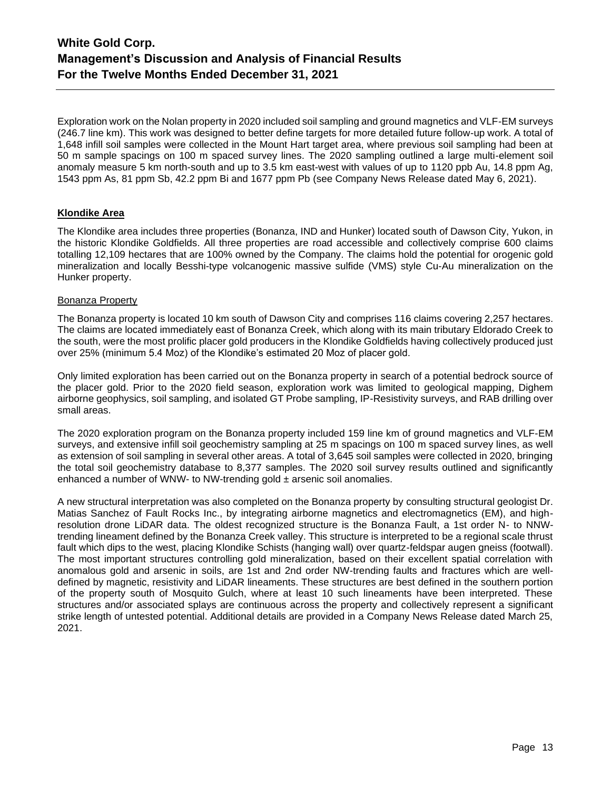Exploration work on the Nolan property in 2020 included soil sampling and ground magnetics and VLF-EM surveys (246.7 line km). This work was designed to better define targets for more detailed future follow-up work. A total of 1,648 infill soil samples were collected in the Mount Hart target area, where previous soil sampling had been at 50 m sample spacings on 100 m spaced survey lines. The 2020 sampling outlined a large multi-element soil anomaly measure 5 km north-south and up to 3.5 km east-west with values of up to 1120 ppb Au, 14.8 ppm Ag, 1543 ppm As, 81 ppm Sb, 42.2 ppm Bi and 1677 ppm Pb (see Company News Release dated May 6, 2021).

# **Klondike Area**

The Klondike area includes three properties (Bonanza, IND and Hunker) located south of Dawson City, Yukon, in the historic Klondike Goldfields. All three properties are road accessible and collectively comprise 600 claims totalling 12,109 hectares that are 100% owned by the Company. The claims hold the potential for orogenic gold mineralization and locally Besshi-type volcanogenic massive sulfide (VMS) style Cu-Au mineralization on the Hunker property.

# Bonanza Property

The Bonanza property is located 10 km south of Dawson City and comprises 116 claims covering 2,257 hectares. The claims are located immediately east of Bonanza Creek, which along with its main tributary Eldorado Creek to the south, were the most prolific placer gold producers in the Klondike Goldfields having collectively produced just over 25% (minimum 5.4 Moz) of the Klondike's estimated 20 Moz of placer gold.

Only limited exploration has been carried out on the Bonanza property in search of a potential bedrock source of the placer gold. Prior to the 2020 field season, exploration work was limited to geological mapping, Dighem airborne geophysics, soil sampling, and isolated GT Probe sampling, IP-Resistivity surveys, and RAB drilling over small areas.

The 2020 exploration program on the Bonanza property included 159 line km of ground magnetics and VLF-EM surveys, and extensive infill soil geochemistry sampling at 25 m spacings on 100 m spaced survey lines, as well as extension of soil sampling in several other areas. A total of 3,645 soil samples were collected in 2020, bringing the total soil geochemistry database to 8,377 samples. The 2020 soil survey results outlined and significantly enhanced a number of WNW- to NW-trending gold  $\pm$  arsenic soil anomalies.

A new structural interpretation was also completed on the Bonanza property by consulting structural geologist Dr. Matias Sanchez of Fault Rocks Inc., by integrating airborne magnetics and electromagnetics (EM), and highresolution drone LiDAR data. The oldest recognized structure is the Bonanza Fault, a 1st order N- to NNWtrending lineament defined by the Bonanza Creek valley. This structure is interpreted to be a regional scale thrust fault which dips to the west, placing Klondike Schists (hanging wall) over quartz-feldspar augen gneiss (footwall). The most important structures controlling gold mineralization, based on their excellent spatial correlation with anomalous gold and arsenic in soils, are 1st and 2nd order NW-trending faults and fractures which are welldefined by magnetic, resistivity and LiDAR lineaments. These structures are best defined in the southern portion of the property south of Mosquito Gulch, where at least 10 such lineaments have been interpreted. These structures and/or associated splays are continuous across the property and collectively represent a significant strike length of untested potential. Additional details are provided in a Company News Release dated March 25, 2021.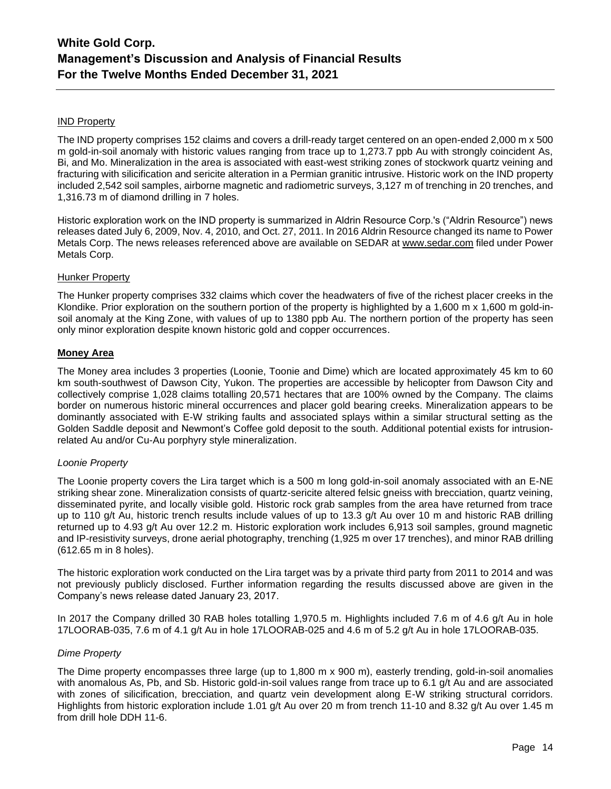# IND Property

The IND property comprises 152 claims and covers a drill-ready target centered on an open-ended 2,000 m x 500 m gold-in-soil anomaly with historic values ranging from trace up to 1,273.7 ppb Au with strongly coincident As, Bi, and Mo. Mineralization in the area is associated with east-west striking zones of stockwork quartz veining and fracturing with silicification and sericite alteration in a Permian granitic intrusive. Historic work on the IND property included 2,542 soil samples, airborne magnetic and radiometric surveys, 3,127 m of trenching in 20 trenches, and 1,316.73 m of diamond drilling in 7 holes.

Historic exploration work on the IND property is summarized in Aldrin Resource Corp.'s ("Aldrin Resource") news releases dated July 6, 2009, Nov. 4, 2010, and Oct. 27, 2011. In 2016 Aldrin Resource changed its name to Power Metals Corp. The news releases referenced above are available on SEDAR at [www.sedar.com](http://www.sedar.com/) filed under Power Metals Corp.

# Hunker Property

The Hunker property comprises 332 claims which cover the headwaters of five of the richest placer creeks in the Klondike. Prior exploration on the southern portion of the property is highlighted by a 1,600 m x 1,600 m gold-insoil anomaly at the King Zone, with values of up to 1380 ppb Au. The northern portion of the property has seen only minor exploration despite known historic gold and copper occurrences.

# **Money Area**

The Money area includes 3 properties (Loonie, Toonie and Dime) which are located approximately 45 km to 60 km south-southwest of Dawson City, Yukon. The properties are accessible by helicopter from Dawson City and collectively comprise 1,028 claims totalling 20,571 hectares that are 100% owned by the Company. The claims border on numerous historic mineral occurrences and placer gold bearing creeks. Mineralization appears to be dominantly associated with E-W striking faults and associated splays within a similar structural setting as the Golden Saddle deposit and Newmont's Coffee gold deposit to the south. Additional potential exists for intrusionrelated Au and/or Cu-Au porphyry style mineralization.

# *Loonie Property*

The Loonie property covers the Lira target which is a 500 m long gold-in-soil anomaly associated with an E-NE striking shear zone. Mineralization consists of quartz-sericite altered felsic gneiss with brecciation, quartz veining, disseminated pyrite, and locally visible gold. Historic rock grab samples from the area have returned from trace up to 110 g/t Au, historic trench results include values of up to 13.3 g/t Au over 10 m and historic RAB drilling returned up to 4.93 g/t Au over 12.2 m. Historic exploration work includes 6,913 soil samples, ground magnetic and IP-resistivity surveys, drone aerial photography, trenching (1,925 m over 17 trenches), and minor RAB drilling (612.65 m in 8 holes).

The historic exploration work conducted on the Lira target was by a private third party from 2011 to 2014 and was not previously publicly disclosed. Further information regarding the results discussed above are given in the Company's news release dated January 23, 2017.

In 2017 the Company drilled 30 RAB holes totalling 1,970.5 m. Highlights included 7.6 m of 4.6 g/t Au in hole 17LOORAB-035, 7.6 m of 4.1 g/t Au in hole 17LOORAB-025 and 4.6 m of 5.2 g/t Au in hole 17LOORAB-035.

# *Dime Property*

The Dime property encompasses three large (up to 1,800 m x 900 m), easterly trending, gold-in-soil anomalies with anomalous As, Pb, and Sb. Historic gold-in-soil values range from trace up to 6.1 g/t Au and are associated with zones of silicification, brecciation, and quartz vein development along E-W striking structural corridors. Highlights from historic exploration include 1.01 g/t Au over 20 m from trench 11-10 and 8.32 g/t Au over 1.45 m from drill hole DDH 11-6.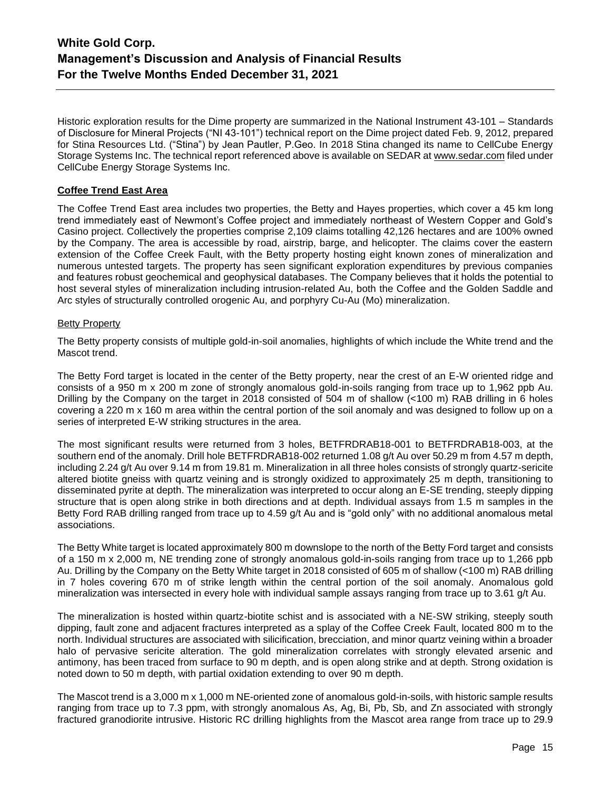Historic exploration results for the Dime property are summarized in the National Instrument 43-101 – Standards of Disclosure for Mineral Projects ("NI 43-101") technical report on the Dime project dated Feb. 9, 2012, prepared for Stina Resources Ltd. ("Stina") by Jean Pautler, P.Geo. In 2018 Stina changed its name to CellCube Energy Storage Systems Inc. The technical report referenced above is available on SEDAR at [www.sedar.com](http://www.sedar.com/) filed under CellCube Energy Storage Systems Inc.

# **Coffee Trend East Area**

The Coffee Trend East area includes two properties, the Betty and Hayes properties, which cover a 45 km long trend immediately east of Newmont's Coffee project and immediately northeast of Western Copper and Gold's Casino project. Collectively the properties comprise 2,109 claims totalling 42,126 hectares and are 100% owned by the Company. The area is accessible by road, airstrip, barge, and helicopter. The claims cover the eastern extension of the Coffee Creek Fault, with the Betty property hosting eight known zones of mineralization and numerous untested targets. The property has seen significant exploration expenditures by previous companies and features robust geochemical and geophysical databases. The Company believes that it holds the potential to host several styles of mineralization including intrusion-related Au, both the Coffee and the Golden Saddle and Arc styles of structurally controlled orogenic Au, and porphyry Cu-Au (Mo) mineralization.

# Betty Property

The Betty property consists of multiple gold-in-soil anomalies, highlights of which include the White trend and the Mascot trend.

The Betty Ford target is located in the center of the Betty property, near the crest of an E-W oriented ridge and consists of a 950 m x 200 m zone of strongly anomalous gold-in-soils ranging from trace up to 1,962 ppb Au. Drilling by the Company on the target in 2018 consisted of 504 m of shallow (<100 m) RAB drilling in 6 holes covering a 220 m x 160 m area within the central portion of the soil anomaly and was designed to follow up on a series of interpreted E-W striking structures in the area.

The most significant results were returned from 3 holes, BETFRDRAB18-001 to BETFRDRAB18-003, at the southern end of the anomaly. Drill hole BETFRDRAB18-002 returned 1.08 g/t Au over 50.29 m from 4.57 m depth, including 2.24 g/t Au over 9.14 m from 19.81 m. Mineralization in all three holes consists of strongly quartz-sericite altered biotite gneiss with quartz veining and is strongly oxidized to approximately 25 m depth, transitioning to disseminated pyrite at depth. The mineralization was interpreted to occur along an E-SE trending, steeply dipping structure that is open along strike in both directions and at depth. Individual assays from 1.5 m samples in the Betty Ford RAB drilling ranged from trace up to 4.59 g/t Au and is "gold only" with no additional anomalous metal associations.

The Betty White target is located approximately 800 m downslope to the north of the Betty Ford target and consists of a 150 m x 2,000 m, NE trending zone of strongly anomalous gold-in-soils ranging from trace up to 1,266 ppb Au. Drilling by the Company on the Betty White target in 2018 consisted of 605 m of shallow (<100 m) RAB drilling in 7 holes covering 670 m of strike length within the central portion of the soil anomaly. Anomalous gold mineralization was intersected in every hole with individual sample assays ranging from trace up to 3.61 g/t Au.

The mineralization is hosted within quartz-biotite schist and is associated with a NE-SW striking, steeply south dipping, fault zone and adjacent fractures interpreted as a splay of the Coffee Creek Fault, located 800 m to the north. Individual structures are associated with silicification, brecciation, and minor quartz veining within a broader halo of pervasive sericite alteration. The gold mineralization correlates with strongly elevated arsenic and antimony, has been traced from surface to 90 m depth, and is open along strike and at depth. Strong oxidation is noted down to 50 m depth, with partial oxidation extending to over 90 m depth.

The Mascot trend is a 3,000 m x 1,000 m NE-oriented zone of anomalous gold-in-soils, with historic sample results ranging from trace up to 7.3 ppm, with strongly anomalous As, Ag, Bi, Pb, Sb, and Zn associated with strongly fractured granodiorite intrusive. Historic RC drilling highlights from the Mascot area range from trace up to 29.9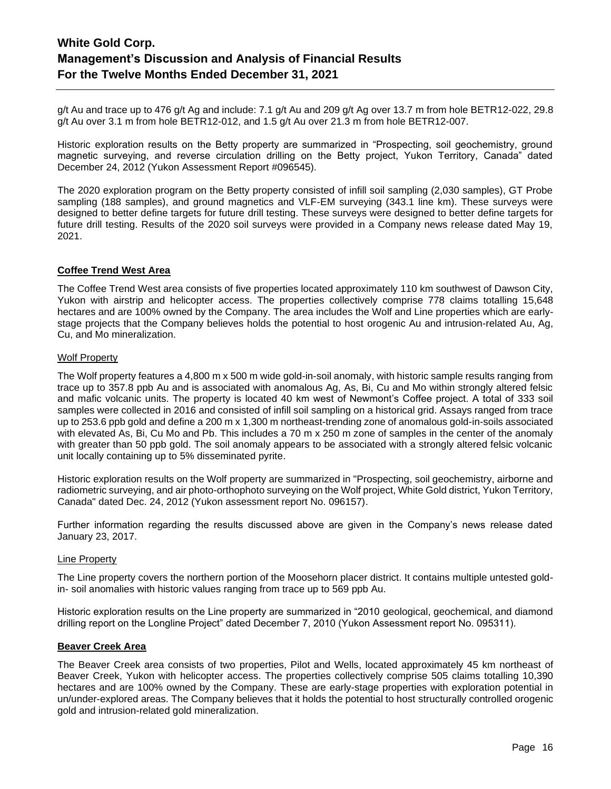g/t Au and trace up to 476 g/t Ag and include: 7.1 g/t Au and 209 g/t Ag over 13.7 m from hole BETR12-022, 29.8 g/t Au over 3.1 m from hole BETR12-012, and 1.5 g/t Au over 21.3 m from hole BETR12-007.

Historic exploration results on the Betty property are summarized in "Prospecting, soil geochemistry, ground magnetic surveying, and reverse circulation drilling on the Betty project, Yukon Territory, Canada" dated December 24, 2012 (Yukon Assessment Report #096545).

The 2020 exploration program on the Betty property consisted of infill soil sampling (2,030 samples), GT Probe sampling (188 samples), and ground magnetics and VLF-EM surveying (343.1 line km). These surveys were designed to better define targets for future drill testing. These surveys were designed to better define targets for future drill testing. Results of the 2020 soil surveys were provided in a Company news release dated May 19, 2021.

# **Coffee Trend West Area**

The Coffee Trend West area consists of five properties located approximately 110 km southwest of Dawson City, Yukon with airstrip and helicopter access. The properties collectively comprise 778 claims totalling 15,648 hectares and are 100% owned by the Company. The area includes the Wolf and Line properties which are earlystage projects that the Company believes holds the potential to host orogenic Au and intrusion-related Au, Ag, Cu, and Mo mineralization.

# Wolf Property

The Wolf property features a 4,800 m x 500 m wide gold-in-soil anomaly, with historic sample results ranging from trace up to 357.8 ppb Au and is associated with anomalous Ag, As, Bi, Cu and Mo within strongly altered felsic and mafic volcanic units. The property is located 40 km west of Newmont's Coffee project. A total of 333 soil samples were collected in 2016 and consisted of infill soil sampling on a historical grid. Assays ranged from trace up to 253.6 ppb gold and define a 200 m x 1,300 m northeast-trending zone of anomalous gold-in-soils associated with elevated As, Bi, Cu Mo and Pb. This includes a 70 m x 250 m zone of samples in the center of the anomaly with greater than 50 ppb gold. The soil anomaly appears to be associated with a strongly altered felsic volcanic unit locally containing up to 5% disseminated pyrite.

Historic exploration results on the Wolf property are summarized in "Prospecting, soil geochemistry, airborne and radiometric surveying, and air photo-orthophoto surveying on the Wolf project, White Gold district, Yukon Territory, Canada" dated Dec. 24, 2012 (Yukon assessment report No. 096157).

Further information regarding the results discussed above are given in the Company's news release dated January 23, 2017.

#### Line Property

The Line property covers the northern portion of the Moosehorn placer district. It contains multiple untested goldin- soil anomalies with historic values ranging from trace up to 569 ppb Au.

Historic exploration results on the Line property are summarized in "2010 geological, geochemical, and diamond drilling report on the Longline Project" dated December 7, 2010 (Yukon Assessment report No. 095311).

# **Beaver Creek Area**

The Beaver Creek area consists of two properties, Pilot and Wells, located approximately 45 km northeast of Beaver Creek, Yukon with helicopter access. The properties collectively comprise 505 claims totalling 10,390 hectares and are 100% owned by the Company. These are early-stage properties with exploration potential in un/under-explored areas. The Company believes that it holds the potential to host structurally controlled orogenic gold and intrusion-related gold mineralization.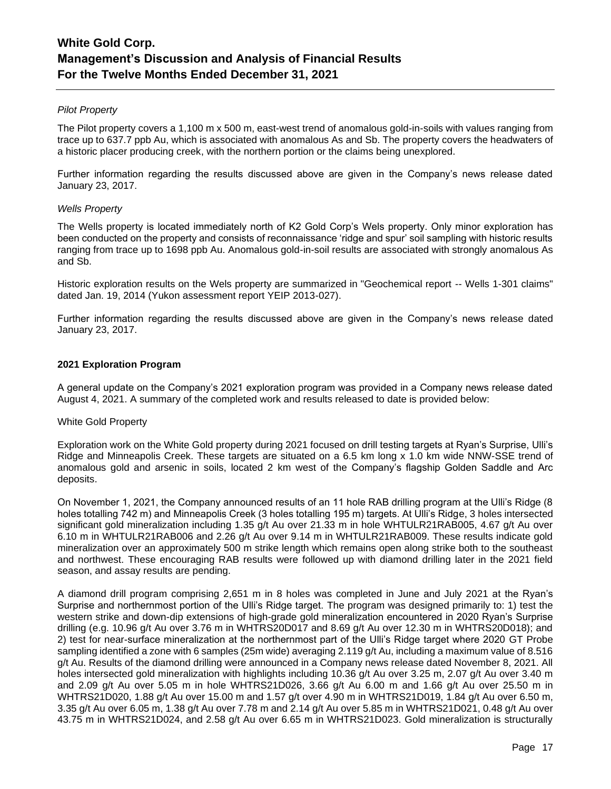# *Pilot Property*

The Pilot property covers a 1,100 m x 500 m, east-west trend of anomalous gold-in-soils with values ranging from trace up to 637.7 ppb Au, which is associated with anomalous As and Sb. The property covers the headwaters of a historic placer producing creek, with the northern portion or the claims being unexplored.

Further information regarding the results discussed above are given in the Company's news release dated January 23, 2017.

# *Wells Property*

The Wells property is located immediately north of K2 Gold Corp's Wels property. Only minor exploration has been conducted on the property and consists of reconnaissance 'ridge and spur' soil sampling with historic results ranging from trace up to 1698 ppb Au. Anomalous gold-in-soil results are associated with strongly anomalous As and Sb.

Historic exploration results on the Wels property are summarized in "Geochemical report -- Wells 1-301 claims" dated Jan. 19, 2014 (Yukon assessment report YEIP 2013-027).

Further information regarding the results discussed above are given in the Company's news release dated January 23, 2017.

# **2021 Exploration Program**

A general update on the Company's 2021 exploration program was provided in a Company news release dated August 4, 2021. A summary of the completed work and results released to date is provided below:

# White Gold Property

Exploration work on the White Gold property during 2021 focused on drill testing targets at Ryan's Surprise, Ulli's Ridge and Minneapolis Creek. These targets are situated on a 6.5 km long x 1.0 km wide NNW-SSE trend of anomalous gold and arsenic in soils, located 2 km west of the Company's flagship Golden Saddle and Arc deposits.

On November 1, 2021, the Company announced results of an 11 hole RAB drilling program at the Ulli's Ridge (8 holes totalling 742 m) and Minneapolis Creek (3 holes totalling 195 m) targets. At Ulli's Ridge, 3 holes intersected significant gold mineralization including 1.35 g/t Au over 21.33 m in hole WHTULR21RAB005, 4.67 g/t Au over 6.10 m in WHTULR21RAB006 and 2.26 g/t Au over 9.14 m in WHTULR21RAB009. These results indicate gold mineralization over an approximately 500 m strike length which remains open along strike both to the southeast and northwest. These encouraging RAB results were followed up with diamond drilling later in the 2021 field season, and assay results are pending.

A diamond drill program comprising 2,651 m in 8 holes was completed in June and July 2021 at the Ryan's Surprise and northernmost portion of the Ulli's Ridge target. The program was designed primarily to: 1) test the western strike and down-dip extensions of high-grade gold mineralization encountered in 2020 Ryan's Surprise drilling (e.g. 10.96 g/t Au over 3.76 m in WHTRS20D017 and 8.69 g/t Au over 12.30 m in WHTRS20D018); and 2) test for near-surface mineralization at the northernmost part of the Ulli's Ridge target where 2020 GT Probe sampling identified a zone with 6 samples (25m wide) averaging 2.119 g/t Au, including a maximum value of 8.516 g/t Au. Results of the diamond drilling were announced in a Company news release dated November 8, 2021. All holes intersected gold mineralization with highlights including 10.36 g/t Au over 3.25 m, 2.07 g/t Au over 3.40 m and 2.09 g/t Au over 5.05 m in hole WHTRS21D026, 3.66 g/t Au 6.00 m and 1.66 g/t Au over 25.50 m in WHTRS21D020, 1.88 g/t Au over 15.00 m and 1.57 g/t over 4.90 m in WHTRS21D019, 1.84 g/t Au over 6.50 m, 3.35 g/t Au over 6.05 m, 1.38 g/t Au over 7.78 m and 2.14 g/t Au over 5.85 m in WHTRS21D021, 0.48 g/t Au over 43.75 m in WHTRS21D024, and 2.58 g/t Au over 6.65 m in WHTRS21D023. Gold mineralization is structurally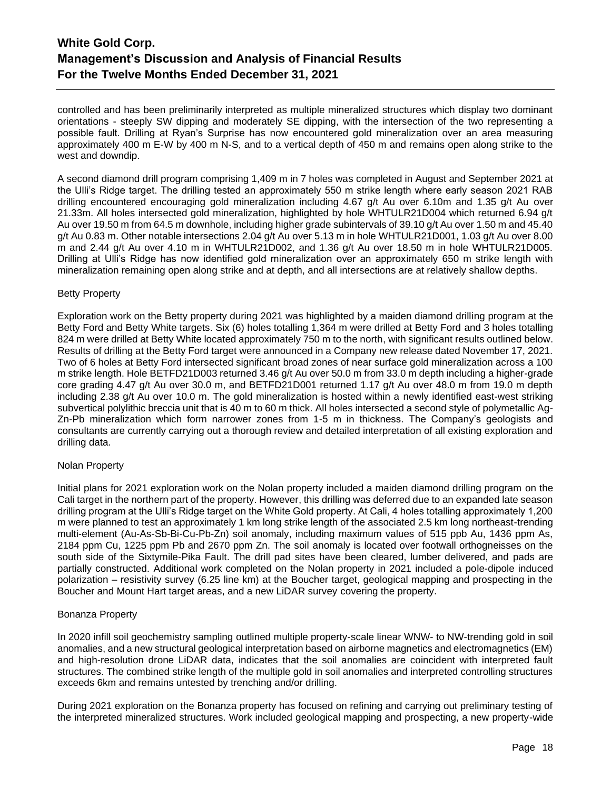controlled and has been preliminarily interpreted as multiple mineralized structures which display two dominant orientations - steeply SW dipping and moderately SE dipping, with the intersection of the two representing a possible fault. Drilling at Ryan's Surprise has now encountered gold mineralization over an area measuring approximately 400 m E-W by 400 m N-S, and to a vertical depth of 450 m and remains open along strike to the west and downdip.

A second diamond drill program comprising 1,409 m in 7 holes was completed in August and September 2021 at the Ulli's Ridge target. The drilling tested an approximately 550 m strike length where early season 2021 RAB drilling encountered encouraging gold mineralization including 4.67 g/t Au over 6.10m and 1.35 g/t Au over 21.33m. All holes intersected gold mineralization, highlighted by hole WHTULR21D004 which returned 6.94 g/t Au over 19.50 m from 64.5 m downhole, including higher grade subintervals of 39.10 g/t Au over 1.50 m and 45.40 g/t Au 0.83 m. Other notable intersections 2.04 g/t Au over 5.13 m in hole WHTULR21D001, 1.03 g/t Au over 8.00 m and 2.44 g/t Au over 4.10 m in WHTULR21D002, and 1.36 g/t Au over 18.50 m in hole WHTULR21D005. Drilling at Ulli's Ridge has now identified gold mineralization over an approximately 650 m strike length with mineralization remaining open along strike and at depth, and all intersections are at relatively shallow depths.

# Betty Property

Exploration work on the Betty property during 2021 was highlighted by a maiden diamond drilling program at the Betty Ford and Betty White targets. Six (6) holes totalling 1,364 m were drilled at Betty Ford and 3 holes totalling 824 m were drilled at Betty White located approximately 750 m to the north, with significant results outlined below. Results of drilling at the Betty Ford target were announced in a Company new release dated November 17, 2021. Two of 6 holes at Betty Ford intersected significant broad zones of near surface gold mineralization across a 100 m strike length. Hole BETFD21D003 returned 3.46 g/t Au over 50.0 m from 33.0 m depth including a higher-grade core grading 4.47 g/t Au over 30.0 m, and BETFD21D001 returned 1.17 g/t Au over 48.0 m from 19.0 m depth including 2.38 g/t Au over 10.0 m. The gold mineralization is hosted within a newly identified east-west striking subvertical polylithic breccia unit that is 40 m to 60 m thick. All holes intersected a second style of polymetallic Ag-Zn-Pb mineralization which form narrower zones from 1-5 m in thickness. The Company's geologists and consultants are currently carrying out a thorough review and detailed interpretation of all existing exploration and drilling data.

# Nolan Property

Initial plans for 2021 exploration work on the Nolan property included a maiden diamond drilling program on the Cali target in the northern part of the property. However, this drilling was deferred due to an expanded late season drilling program at the Ulli's Ridge target on the White Gold property. At Cali, 4 holes totalling approximately 1,200 m were planned to test an approximately 1 km long strike length of the associated 2.5 km long northeast-trending multi-element (Au-As-Sb-Bi-Cu-Pb-Zn) soil anomaly, including maximum values of 515 ppb Au, 1436 ppm As, 2184 ppm Cu, 1225 ppm Pb and 2670 ppm Zn. The soil anomaly is located over footwall orthogneisses on the south side of the Sixtymile-Pika Fault. The drill pad sites have been cleared, lumber delivered, and pads are partially constructed. Additional work completed on the Nolan property in 2021 included a pole-dipole induced polarization – resistivity survey (6.25 line km) at the Boucher target, geological mapping and prospecting in the Boucher and Mount Hart target areas, and a new LiDAR survey covering the property.

# Bonanza Property

In 2020 infill soil geochemistry sampling outlined multiple property-scale linear WNW- to NW-trending gold in soil anomalies, and a new structural geological interpretation based on airborne magnetics and electromagnetics (EM) and high-resolution drone LiDAR data, indicates that the soil anomalies are coincident with interpreted fault structures. The combined strike length of the multiple gold in soil anomalies and interpreted controlling structures exceeds 6km and remains untested by trenching and/or drilling.

During 2021 exploration on the Bonanza property has focused on refining and carrying out preliminary testing of the interpreted mineralized structures. Work included geological mapping and prospecting, a new property-wide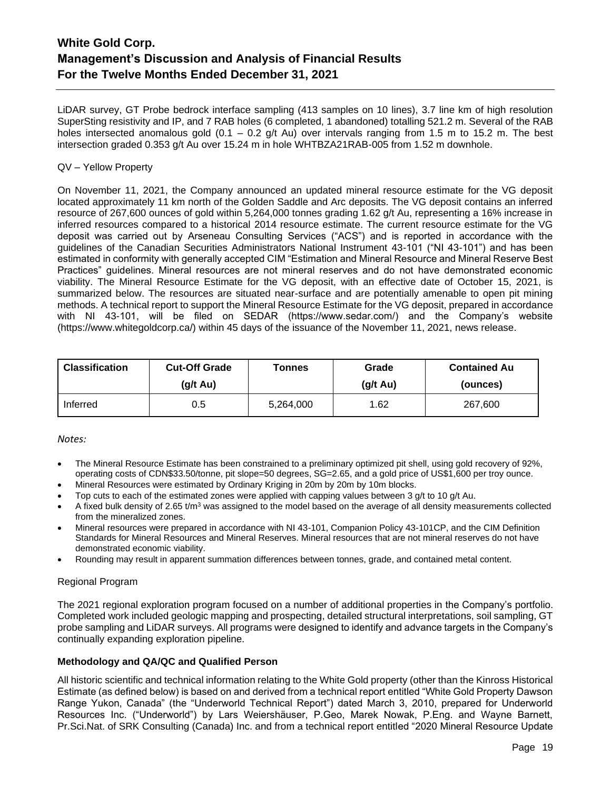LiDAR survey, GT Probe bedrock interface sampling (413 samples on 10 lines), 3.7 line km of high resolution SuperSting resistivity and IP, and 7 RAB holes (6 completed, 1 abandoned) totalling 521.2 m. Several of the RAB holes intersected anomalous gold  $(0.1 - 0.2$  g/t Au) over intervals ranging from 1.5 m to 15.2 m. The best intersection graded 0.353 g/t Au over 15.24 m in hole WHTBZA21RAB-005 from 1.52 m downhole.

# QV – Yellow Property

On November 11, 2021, the Company announced an updated mineral resource estimate for the VG deposit located approximately 11 km north of the Golden Saddle and Arc deposits. The VG deposit contains an inferred resource of 267,600 ounces of gold within 5,264,000 tonnes grading 1.62 g/t Au, representing a 16% increase in inferred resources compared to a historical 2014 resource estimate. The current resource estimate for the VG deposit was carried out by Arseneau Consulting Services ("ACS") and is reported in accordance with the guidelines of the Canadian Securities Administrators National Instrument 43-101 ("NI 43-101") and has been estimated in conformity with generally accepted CIM "Estimation and Mineral Resource and Mineral Reserve Best Practices" guidelines. Mineral resources are not mineral reserves and do not have demonstrated economic viability. The Mineral Resource Estimate for the VG deposit, with an effective date of October 15, 2021, is summarized below. The resources are situated near-surface and are potentially amenable to open pit mining methods. A technical report to support the Mineral Resource Estimate for the VG deposit, prepared in accordance with NI 43-101, will be filed on SEDAR (https://www.sedar.com/) and the Company's website (https://www.whitegoldcorp.ca/) within 45 days of the issuance of the November 11, 2021, news release.

| <b>Classification</b> | <b>Cut-Off Grade</b> | <b>Tonnes</b> | Grade              | <b>Contained Au</b> |
|-----------------------|----------------------|---------------|--------------------|---------------------|
|                       | $(g/t \text{ Au})$   |               | $(g/t \text{ Au})$ | (ounces)            |
| Inferred              | 0.5                  | 5,264,000     | 1.62               | 267,600             |

# *Notes:*

- The Mineral Resource Estimate has been constrained to a preliminary optimized pit shell, using gold recovery of 92%, operating costs of CDN\$33.50/tonne, pit slope=50 degrees, SG=2.65, and a gold price of US\$1,600 per troy ounce.
- Mineral Resources were estimated by Ordinary Kriging in 20m by 20m by 10m blocks.
- Top cuts to each of the estimated zones were applied with capping values between 3 g/t to 10 g/t Au.
- A fixed bulk density of 2.65  $t/m<sup>3</sup>$  was assigned to the model based on the average of all density measurements collected from the mineralized zones.
- Mineral resources were prepared in accordance with NI 43-101, Companion Policy 43-101CP, and the CIM Definition Standards for Mineral Resources and Mineral Reserves. Mineral resources that are not mineral reserves do not have demonstrated economic viability.
- Rounding may result in apparent summation differences between tonnes, grade, and contained metal content.

# Regional Program

The 2021 regional exploration program focused on a number of additional properties in the Company's portfolio. Completed work included geologic mapping and prospecting, detailed structural interpretations, soil sampling, GT probe sampling and LiDAR surveys. All programs were designed to identify and advance targets in the Company's continually expanding exploration pipeline.

# **Methodology and QA/QC and Qualified Person**

All historic scientific and technical information relating to the White Gold property (other than the Kinross Historical Estimate (as defined below) is based on and derived from a technical report entitled "White Gold Property Dawson Range Yukon, Canada" (the "Underworld Technical Report") dated March 3, 2010, prepared for Underworld Resources Inc. ("Underworld") by Lars Weiershäuser, P.Geo, Marek Nowak, P.Eng. and Wayne Barnett, Pr.Sci.Nat. of SRK Consulting (Canada) Inc. and from a technical report entitled "2020 Mineral Resource Update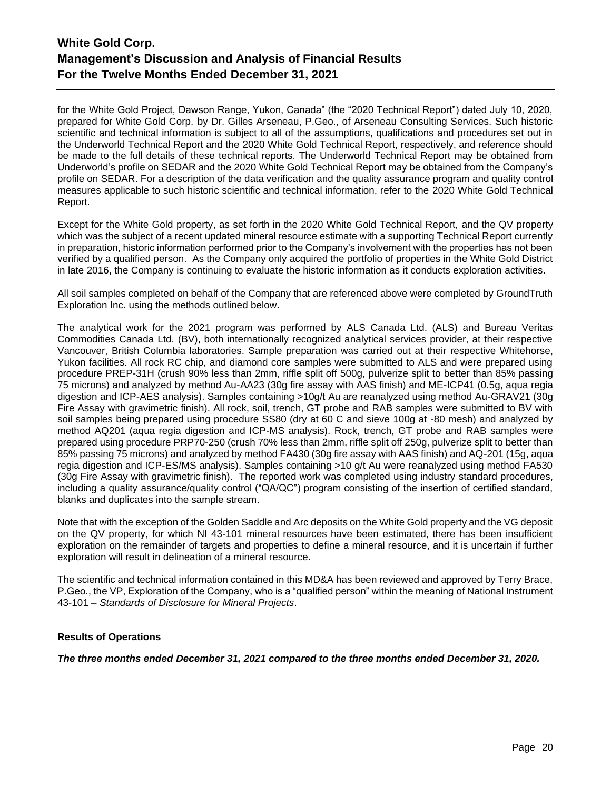for the White Gold Project, Dawson Range, Yukon, Canada" (the "2020 Technical Report") dated July 10, 2020, prepared for White Gold Corp. by Dr. Gilles Arseneau, P.Geo., of Arseneau Consulting Services. Such historic scientific and technical information is subject to all of the assumptions, qualifications and procedures set out in the Underworld Technical Report and the 2020 White Gold Technical Report, respectively, and reference should be made to the full details of these technical reports. The Underworld Technical Report may be obtained from Underworld's profile on SEDAR and the 2020 White Gold Technical Report may be obtained from the Company's profile on SEDAR. For a description of the data verification and the quality assurance program and quality control measures applicable to such historic scientific and technical information, refer to the 2020 White Gold Technical Report.

Except for the White Gold property, as set forth in the 2020 White Gold Technical Report, and the QV property which was the subject of a recent updated mineral resource estimate with a supporting Technical Report currently in preparation, historic information performed prior to the Company's involvement with the properties has not been verified by a qualified person. As the Company only acquired the portfolio of properties in the White Gold District in late 2016, the Company is continuing to evaluate the historic information as it conducts exploration activities.

All soil samples completed on behalf of the Company that are referenced above were completed by GroundTruth Exploration Inc. using the methods outlined below.

The analytical work for the 2021 program was performed by ALS Canada Ltd. (ALS) and Bureau Veritas Commodities Canada Ltd. (BV), both internationally recognized analytical services provider, at their respective Vancouver, British Columbia laboratories. Sample preparation was carried out at their respective Whitehorse, Yukon facilities. All rock RC chip, and diamond core samples were submitted to ALS and were prepared using procedure PREP-31H (crush 90% less than 2mm, riffle split off 500g, pulverize split to better than 85% passing 75 microns) and analyzed by method Au-AA23 (30g fire assay with AAS finish) and ME-ICP41 (0.5g, aqua regia digestion and ICP-AES analysis). Samples containing >10g/t Au are reanalyzed using method Au-GRAV21 (30g Fire Assay with gravimetric finish). All rock, soil, trench, GT probe and RAB samples were submitted to BV with soil samples being prepared using procedure SS80 (dry at 60 C and sieve 100g at -80 mesh) and analyzed by method AQ201 (aqua regia digestion and ICP-MS analysis). Rock, trench, GT probe and RAB samples were prepared using procedure PRP70-250 (crush 70% less than 2mm, riffle split off 250g, pulverize split to better than 85% passing 75 microns) and analyzed by method FA430 (30g fire assay with AAS finish) and AQ-201 (15g, aqua regia digestion and ICP-ES/MS analysis). Samples containing >10 g/t Au were reanalyzed using method FA530 (30g Fire Assay with gravimetric finish). The reported work was completed using industry standard procedures, including a quality assurance/quality control ("QA/QC") program consisting of the insertion of certified standard, blanks and duplicates into the sample stream.

Note that with the exception of the Golden Saddle and Arc deposits on the White Gold property and the VG deposit on the QV property, for which NI 43-101 mineral resources have been estimated, there has been insufficient exploration on the remainder of targets and properties to define a mineral resource, and it is uncertain if further exploration will result in delineation of a mineral resource.

The scientific and technical information contained in this MD&A has been reviewed and approved by Terry Brace, P.Geo., the VP, Exploration of the Company, who is a "qualified person" within the meaning of National Instrument 43-101 – *Standards of Disclosure for Mineral Projects*.

# **Results of Operations**

*The three months ended December 31, 2021 compared to the three months ended December 31, 2020.*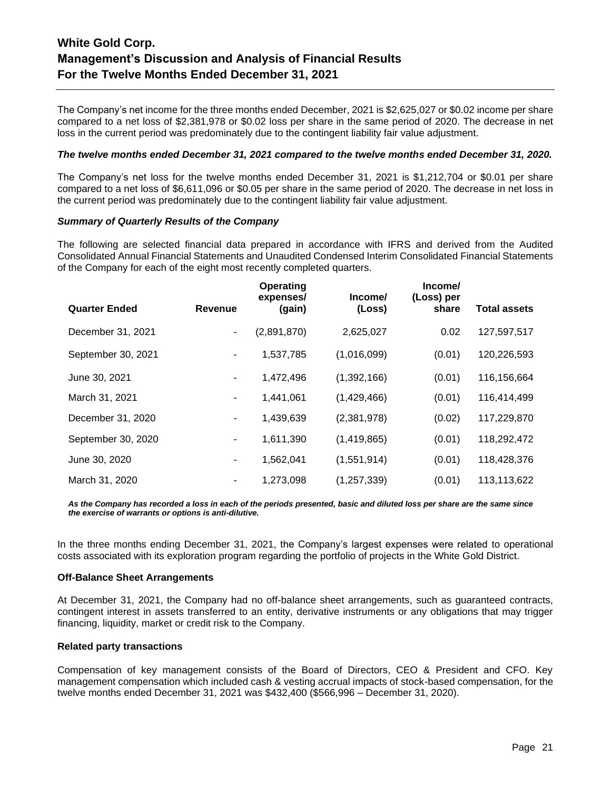The Company's net income for the three months ended December, 2021 is \$2,625,027 or \$0.02 income per share compared to a net loss of \$2,381,978 or \$0.02 loss per share in the same period of 2020. The decrease in net loss in the current period was predominately due to the contingent liability fair value adjustment.

#### *The twelve months ended December 31, 2021 compared to the twelve months ended December 31, 2020.*

The Company's net loss for the twelve months ended December 31, 2021 is \$1,212,704 or \$0.01 per share compared to a net loss of \$6,611,096 or \$0.05 per share in the same period of 2020. The decrease in net loss in the current period was predominately due to the contingent liability fair value adjustment.

#### *Summary of Quarterly Results of the Company*

The following are selected financial data prepared in accordance with IFRS and derived from the Audited Consolidated Annual Financial Statements and Unaudited Condensed Interim Consolidated Financial Statements of the Company for each of the eight most recently completed quarters.

|                      |         | Operating<br>expenses/ | Income/       | Income/<br>(Loss) per |                     |
|----------------------|---------|------------------------|---------------|-----------------------|---------------------|
| <b>Quarter Ended</b> | Revenue | (gain)                 | (Loss)        | share                 | <b>Total assets</b> |
| December 31, 2021    | -       | (2,891,870)            | 2,625,027     | 0.02                  | 127,597,517         |
| September 30, 2021   | ۰       | 1,537,785              | (1,016,099)   | (0.01)                | 120,226,593         |
| June 30, 2021        | -       | 1,472,496              | (1,392,166)   | (0.01)                | 116,156,664         |
| March 31, 2021       | ۰       | 1,441,061              | (1,429,466)   | (0.01)                | 116,414,499         |
| December 31, 2020    | -       | 1,439,639              | (2,381,978)   | (0.02)                | 117,229,870         |
| September 30, 2020   | ۰       | 1,611,390              | (1,419,865)   | (0.01)                | 118,292,472         |
| June 30, 2020        | ۰       | 1,562,041              | (1,551,914)   | (0.01)                | 118,428,376         |
| March 31, 2020       |         | 1,273,098              | (1, 257, 339) | (0.01)                | 113,113,622         |

*As the Company has recorded a loss in each of the periods presented, basic and diluted loss per share are the same since the exercise of warrants or options is anti-dilutive.*

In the three months ending December 31, 2021, the Company's largest expenses were related to operational costs associated with its exploration program regarding the portfolio of projects in the White Gold District.

#### **Off-Balance Sheet Arrangements**

At December 31, 2021, the Company had no off-balance sheet arrangements, such as guaranteed contracts, contingent interest in assets transferred to an entity, derivative instruments or any obligations that may trigger financing, liquidity, market or credit risk to the Company.

# **Related party transactions**

Compensation of key management consists of the Board of Directors, CEO & President and CFO. Key management compensation which included cash & vesting accrual impacts of stock-based compensation, for the twelve months ended December 31, 2021 was \$432,400 (\$566,996 – December 31, 2020).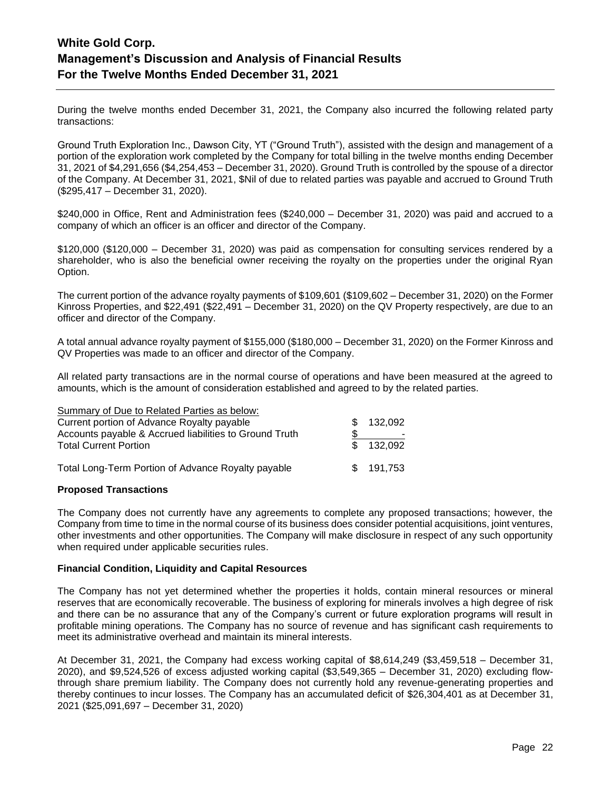During the twelve months ended December 31, 2021, the Company also incurred the following related party transactions:

Ground Truth Exploration Inc., Dawson City, YT ("Ground Truth"), assisted with the design and management of a portion of the exploration work completed by the Company for total billing in the twelve months ending December 31, 2021 of \$4,291,656 (\$4,254,453 – December 31, 2020). Ground Truth is controlled by the spouse of a director of the Company. At December 31, 2021, \$Nil of due to related parties was payable and accrued to Ground Truth (\$295,417 – December 31, 2020).

\$240,000 in Office, Rent and Administration fees (\$240,000 – December 31, 2020) was paid and accrued to a company of which an officer is an officer and director of the Company.

\$120,000 (\$120,000 – December 31, 2020) was paid as compensation for consulting services rendered by a shareholder, who is also the beneficial owner receiving the royalty on the properties under the original Ryan Option.

The current portion of the advance royalty payments of \$109,601 (\$109,602 – December 31, 2020) on the Former Kinross Properties, and \$22,491 (\$22,491 – December 31, 2020) on the QV Property respectively, are due to an officer and director of the Company.

A total annual advance royalty payment of \$155,000 (\$180,000 – December 31, 2020) on the Former Kinross and QV Properties was made to an officer and director of the Company.

All related party transactions are in the normal course of operations and have been measured at the agreed to amounts, which is the amount of consideration established and agreed to by the related parties.

| Summary of Due to Related Parties as below:            |    |           |
|--------------------------------------------------------|----|-----------|
| Current portion of Advance Royalty payable             |    | 132,092   |
| Accounts payable & Accrued liabilities to Ground Truth |    | -         |
| <b>Total Current Portion</b>                           | £. | 132.092   |
|                                                        |    |           |
| Total Long-Term Portion of Advance Royalty payable     |    | \$191,753 |
|                                                        |    |           |

# **Proposed Transactions**

The Company does not currently have any agreements to complete any proposed transactions; however, the Company from time to time in the normal course of its business does consider potential acquisitions, joint ventures, other investments and other opportunities. The Company will make disclosure in respect of any such opportunity when required under applicable securities rules.

# **Financial Condition, Liquidity and Capital Resources**

The Company has not yet determined whether the properties it holds, contain mineral resources or mineral reserves that are economically recoverable. The business of exploring for minerals involves a high degree of risk and there can be no assurance that any of the Company's current or future exploration programs will result in profitable mining operations. The Company has no source of revenue and has significant cash requirements to meet its administrative overhead and maintain its mineral interests.

At December 31, 2021, the Company had excess working capital of \$8,614,249 (\$3,459,518 – December 31, 2020), and \$9,524,526 of excess adjusted working capital (\$3,549,365 – December 31, 2020) excluding flowthrough share premium liability. The Company does not currently hold any revenue-generating properties and thereby continues to incur losses. The Company has an accumulated deficit of \$26,304,401 as at December 31, 2021 (\$25,091,697 – December 31, 2020)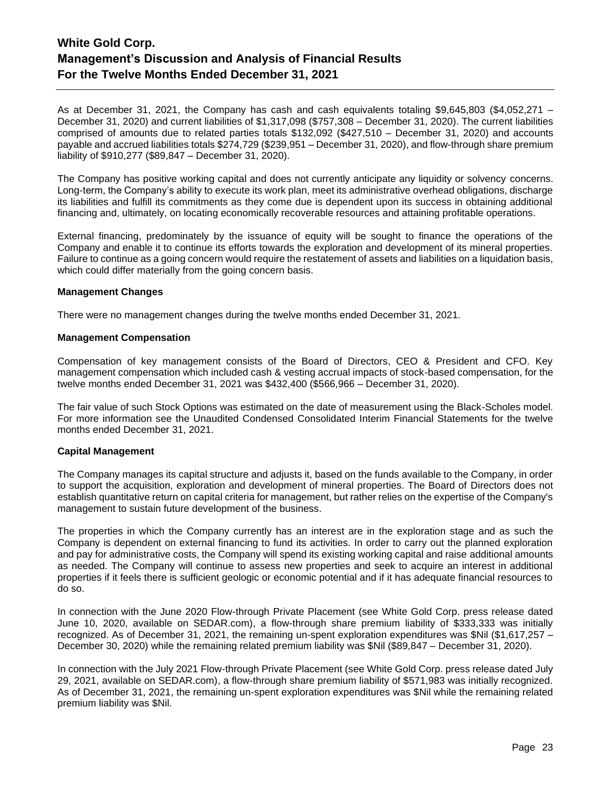As at December 31, 2021, the Company has cash and cash equivalents totaling \$9,645,803 (\$4,052,271 – December 31, 2020) and current liabilities of \$1,317,098 (\$757,308 – December 31, 2020). The current liabilities comprised of amounts due to related parties totals \$132,092 (\$427,510 – December 31, 2020) and accounts payable and accrued liabilities totals \$274,729 (\$239,951 – December 31, 2020), and flow-through share premium liability of \$910,277 (\$89,847 – December 31, 2020).

The Company has positive working capital and does not currently anticipate any liquidity or solvency concerns. Long-term, the Company's ability to execute its work plan, meet its administrative overhead obligations, discharge its liabilities and fulfill its commitments as they come due is dependent upon its success in obtaining additional financing and, ultimately, on locating economically recoverable resources and attaining profitable operations.

External financing, predominately by the issuance of equity will be sought to finance the operations of the Company and enable it to continue its efforts towards the exploration and development of its mineral properties. Failure to continue as a going concern would require the restatement of assets and liabilities on a liquidation basis, which could differ materially from the going concern basis.

# **Management Changes**

There were no management changes during the twelve months ended December 31, 2021.

#### **Management Compensation**

Compensation of key management consists of the Board of Directors, CEO & President and CFO. Key management compensation which included cash & vesting accrual impacts of stock-based compensation, for the twelve months ended December 31, 2021 was \$432,400 (\$566,966 – December 31, 2020).

The fair value of such Stock Options was estimated on the date of measurement using the Black-Scholes model. For more information see the Unaudited Condensed Consolidated Interim Financial Statements for the twelve months ended December 31, 2021.

# **Capital Management**

The Company manages its capital structure and adjusts it, based on the funds available to the Company, in order to support the acquisition, exploration and development of mineral properties. The Board of Directors does not establish quantitative return on capital criteria for management, but rather relies on the expertise of the Company's management to sustain future development of the business.

The properties in which the Company currently has an interest are in the exploration stage and as such the Company is dependent on external financing to fund its activities. In order to carry out the planned exploration and pay for administrative costs, the Company will spend its existing working capital and raise additional amounts as needed. The Company will continue to assess new properties and seek to acquire an interest in additional properties if it feels there is sufficient geologic or economic potential and if it has adequate financial resources to do so.

In connection with the June 2020 Flow-through Private Placement (see White Gold Corp. press release dated June 10, 2020, available on SEDAR.com), a flow-through share premium liability of \$333,333 was initially recognized. As of December 31, 2021, the remaining un-spent exploration expenditures was \$Nil (\$1,617,257 – December 30, 2020) while the remaining related premium liability was \$Nil (\$89,847 – December 31, 2020).

In connection with the July 2021 Flow-through Private Placement (see White Gold Corp. press release dated July 29, 2021, available on SEDAR.com), a flow-through share premium liability of \$571,983 was initially recognized. As of December 31, 2021, the remaining un-spent exploration expenditures was \$Nil while the remaining related premium liability was \$Nil.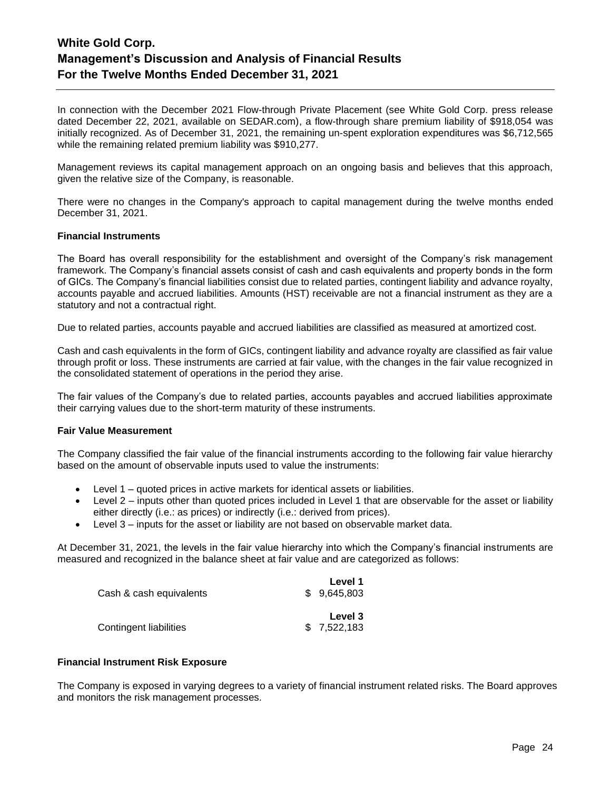In connection with the December 2021 Flow-through Private Placement (see White Gold Corp. press release dated December 22, 2021, available on SEDAR.com), a flow-through share premium liability of \$918,054 was initially recognized. As of December 31, 2021, the remaining un-spent exploration expenditures was \$6,712,565 while the remaining related premium liability was \$910,277.

Management reviews its capital management approach on an ongoing basis and believes that this approach, given the relative size of the Company, is reasonable.

There were no changes in the Company's approach to capital management during the twelve months ended December 31, 2021.

#### **Financial Instruments**

The Board has overall responsibility for the establishment and oversight of the Company's risk management framework. The Company's financial assets consist of cash and cash equivalents and property bonds in the form of GICs. The Company's financial liabilities consist due to related parties, contingent liability and advance royalty, accounts payable and accrued liabilities. Amounts (HST) receivable are not a financial instrument as they are a statutory and not a contractual right.

Due to related parties, accounts payable and accrued liabilities are classified as measured at amortized cost.

Cash and cash equivalents in the form of GICs, contingent liability and advance royalty are classified as fair value through profit or loss. These instruments are carried at fair value, with the changes in the fair value recognized in the consolidated statement of operations in the period they arise.

The fair values of the Company's due to related parties, accounts payables and accrued liabilities approximate their carrying values due to the short-term maturity of these instruments.

#### **Fair Value Measurement**

The Company classified the fair value of the financial instruments according to the following fair value hierarchy based on the amount of observable inputs used to value the instruments:

- Level 1 quoted prices in active markets for identical assets or liabilities.
- Level 2 inputs other than quoted prices included in Level 1 that are observable for the asset or liability either directly (i.e.: as prices) or indirectly (i.e.: derived from prices).
- Level 3 inputs for the asset or liability are not based on observable market data.

At December 31, 2021, the levels in the fair value hierarchy into which the Company's financial instruments are measured and recognized in the balance sheet at fair value and are categorized as follows:

|                         | Level 1     |
|-------------------------|-------------|
| Cash & cash equivalents | \$9.645.803 |
|                         | Level 3     |
| Contingent liabilities  | \$7,522,183 |

#### **Financial Instrument Risk Exposure**

The Company is exposed in varying degrees to a variety of financial instrument related risks. The Board approves and monitors the risk management processes.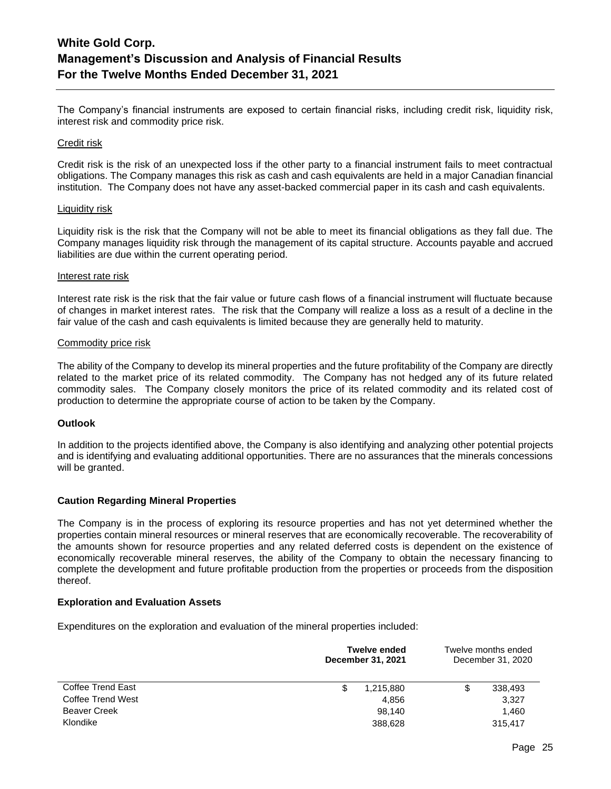The Company's financial instruments are exposed to certain financial risks, including credit risk, liquidity risk, interest risk and commodity price risk.

#### Credit risk

Credit risk is the risk of an unexpected loss if the other party to a financial instrument fails to meet contractual obligations. The Company manages this risk as cash and cash equivalents are held in a major Canadian financial institution. The Company does not have any asset-backed commercial paper in its cash and cash equivalents.

#### Liquidity risk

Liquidity risk is the risk that the Company will not be able to meet its financial obligations as they fall due. The Company manages liquidity risk through the management of its capital structure. Accounts payable and accrued liabilities are due within the current operating period.

#### Interest rate risk

Interest rate risk is the risk that the fair value or future cash flows of a financial instrument will fluctuate because of changes in market interest rates. The risk that the Company will realize a loss as a result of a decline in the fair value of the cash and cash equivalents is limited because they are generally held to maturity.

#### Commodity price risk

The ability of the Company to develop its mineral properties and the future profitability of the Company are directly related to the market price of its related commodity. The Company has not hedged any of its future related commodity sales. The Company closely monitors the price of its related commodity and its related cost of production to determine the appropriate course of action to be taken by the Company.

# **Outlook**

In addition to the projects identified above, the Company is also identifying and analyzing other potential projects and is identifying and evaluating additional opportunities. There are no assurances that the minerals concessions will be granted.

# **Caution Regarding Mineral Properties**

The Company is in the process of exploring its resource properties and has not yet determined whether the properties contain mineral resources or mineral reserves that are economically recoverable. The recoverability of the amounts shown for resource properties and any related deferred costs is dependent on the existence of economically recoverable mineral reserves, the ability of the Company to obtain the necessary financing to complete the development and future profitable production from the properties or proceeds from the disposition thereof.

# **Exploration and Evaluation Assets**

Expenditures on the exploration and evaluation of the mineral properties included:

|                     | <b>Twelve ended</b><br>December 31, 2021 | Twelve months ended<br>December 31, 2020 |
|---------------------|------------------------------------------|------------------------------------------|
| Coffee Trend East   | \$<br>1,215,880                          | 338,493<br>S                             |
| Coffee Trend West   | 4,856                                    | 3,327                                    |
| <b>Beaver Creek</b> | 98.140                                   | 1.460                                    |
| Klondike            | 388,628                                  | 315,417                                  |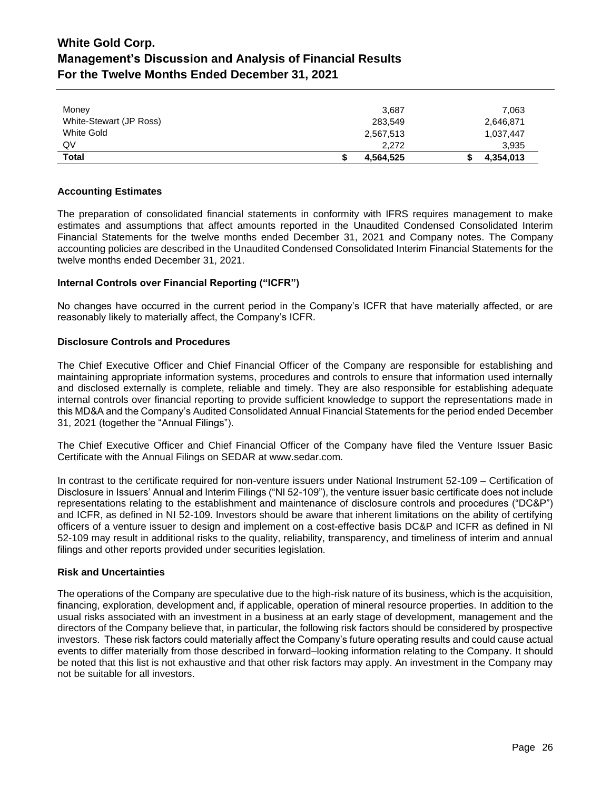| Money                   | 3.687     | 7,063     |
|-------------------------|-----------|-----------|
| White-Stewart (JP Ross) | 283,549   | 2,646,871 |
| White Gold              | 2,567,513 | 1,037,447 |
| QV                      | 2.272     | 3,935     |
| <b>Total</b>            | 4,564,525 | 4,354,013 |

# **Accounting Estimates**

The preparation of consolidated financial statements in conformity with IFRS requires management to make estimates and assumptions that affect amounts reported in the Unaudited Condensed Consolidated Interim Financial Statements for the twelve months ended December 31, 2021 and Company notes. The Company accounting policies are described in the Unaudited Condensed Consolidated Interim Financial Statements for the twelve months ended December 31, 2021.

# **Internal Controls over Financial Reporting ("ICFR")**

No changes have occurred in the current period in the Company's ICFR that have materially affected, or are reasonably likely to materially affect, the Company's ICFR.

# **Disclosure Controls and Procedures**

The Chief Executive Officer and Chief Financial Officer of the Company are responsible for establishing and maintaining appropriate information systems, procedures and controls to ensure that information used internally and disclosed externally is complete, reliable and timely. They are also responsible for establishing adequate internal controls over financial reporting to provide sufficient knowledge to support the representations made in this MD&A and the Company's Audited Consolidated Annual Financial Statements for the period ended December 31, 2021 (together the "Annual Filings").

The Chief Executive Officer and Chief Financial Officer of the Company have filed the Venture Issuer Basic Certificate with the Annual Filings on SEDAR at www.sedar.com.

In contrast to the certificate required for non-venture issuers under National Instrument 52-109 – Certification of Disclosure in Issuers' Annual and Interim Filings ("NI 52-109"), the venture issuer basic certificate does not include representations relating to the establishment and maintenance of disclosure controls and procedures ("DC&P") and ICFR, as defined in NI 52-109. Investors should be aware that inherent limitations on the ability of certifying officers of a venture issuer to design and implement on a cost-effective basis DC&P and ICFR as defined in NI 52-109 may result in additional risks to the quality, reliability, transparency, and timeliness of interim and annual filings and other reports provided under securities legislation.

# **Risk and Uncertainties**

The operations of the Company are speculative due to the high-risk nature of its business, which is the acquisition, financing, exploration, development and, if applicable, operation of mineral resource properties. In addition to the usual risks associated with an investment in a business at an early stage of development, management and the directors of the Company believe that, in particular, the following risk factors should be considered by prospective investors. These risk factors could materially affect the Company's future operating results and could cause actual events to differ materially from those described in forward–looking information relating to the Company. It should be noted that this list is not exhaustive and that other risk factors may apply. An investment in the Company may not be suitable for all investors.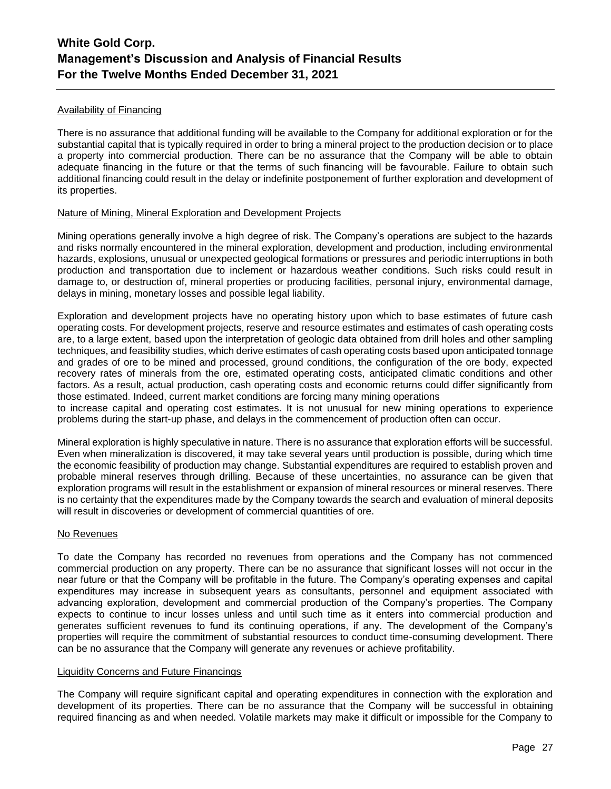# Availability of Financing

There is no assurance that additional funding will be available to the Company for additional exploration or for the substantial capital that is typically required in order to bring a mineral project to the production decision or to place a property into commercial production. There can be no assurance that the Company will be able to obtain adequate financing in the future or that the terms of such financing will be favourable. Failure to obtain such additional financing could result in the delay or indefinite postponement of further exploration and development of its properties.

# Nature of Mining, Mineral Exploration and Development Projects

Mining operations generally involve a high degree of risk. The Company's operations are subject to the hazards and risks normally encountered in the mineral exploration, development and production, including environmental hazards, explosions, unusual or unexpected geological formations or pressures and periodic interruptions in both production and transportation due to inclement or hazardous weather conditions. Such risks could result in damage to, or destruction of, mineral properties or producing facilities, personal injury, environmental damage, delays in mining, monetary losses and possible legal liability.

Exploration and development projects have no operating history upon which to base estimates of future cash operating costs. For development projects, reserve and resource estimates and estimates of cash operating costs are, to a large extent, based upon the interpretation of geologic data obtained from drill holes and other sampling techniques, and feasibility studies, which derive estimates of cash operating costs based upon anticipated tonnage and grades of ore to be mined and processed, ground conditions, the configuration of the ore body, expected recovery rates of minerals from the ore, estimated operating costs, anticipated climatic conditions and other factors. As a result, actual production, cash operating costs and economic returns could differ significantly from those estimated. Indeed, current market conditions are forcing many mining operations

to increase capital and operating cost estimates. It is not unusual for new mining operations to experience problems during the start-up phase, and delays in the commencement of production often can occur.

Mineral exploration is highly speculative in nature. There is no assurance that exploration efforts will be successful. Even when mineralization is discovered, it may take several years until production is possible, during which time the economic feasibility of production may change. Substantial expenditures are required to establish proven and probable mineral reserves through drilling. Because of these uncertainties, no assurance can be given that exploration programs will result in the establishment or expansion of mineral resources or mineral reserves. There is no certainty that the expenditures made by the Company towards the search and evaluation of mineral deposits will result in discoveries or development of commercial quantities of ore.

# No Revenues

To date the Company has recorded no revenues from operations and the Company has not commenced commercial production on any property. There can be no assurance that significant losses will not occur in the near future or that the Company will be profitable in the future. The Company's operating expenses and capital expenditures may increase in subsequent years as consultants, personnel and equipment associated with advancing exploration, development and commercial production of the Company's properties. The Company expects to continue to incur losses unless and until such time as it enters into commercial production and generates sufficient revenues to fund its continuing operations, if any. The development of the Company's properties will require the commitment of substantial resources to conduct time-consuming development. There can be no assurance that the Company will generate any revenues or achieve profitability.

# Liquidity Concerns and Future Financings

The Company will require significant capital and operating expenditures in connection with the exploration and development of its properties. There can be no assurance that the Company will be successful in obtaining required financing as and when needed. Volatile markets may make it difficult or impossible for the Company to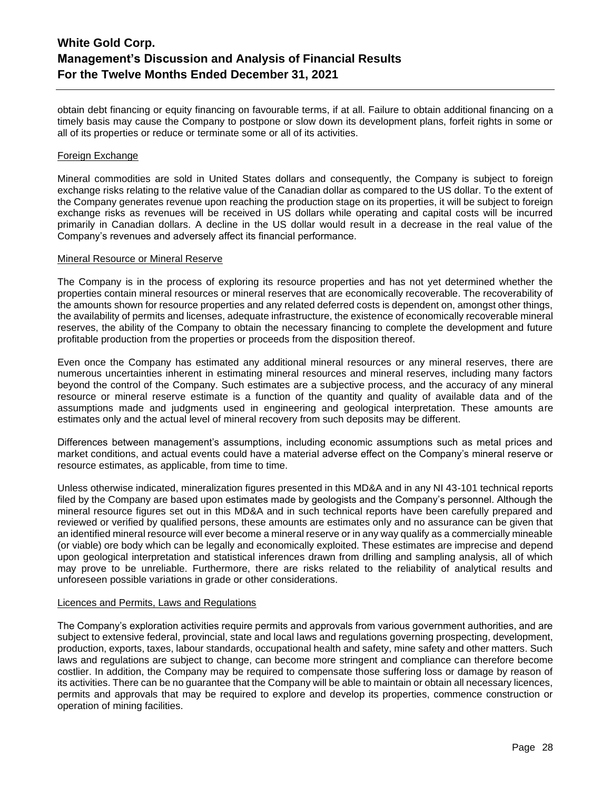obtain debt financing or equity financing on favourable terms, if at all. Failure to obtain additional financing on a timely basis may cause the Company to postpone or slow down its development plans, forfeit rights in some or all of its properties or reduce or terminate some or all of its activities.

# Foreign Exchange

Mineral commodities are sold in United States dollars and consequently, the Company is subject to foreign exchange risks relating to the relative value of the Canadian dollar as compared to the US dollar. To the extent of the Company generates revenue upon reaching the production stage on its properties, it will be subject to foreign exchange risks as revenues will be received in US dollars while operating and capital costs will be incurred primarily in Canadian dollars. A decline in the US dollar would result in a decrease in the real value of the Company's revenues and adversely affect its financial performance.

# Mineral Resource or Mineral Reserve

The Company is in the process of exploring its resource properties and has not yet determined whether the properties contain mineral resources or mineral reserves that are economically recoverable. The recoverability of the amounts shown for resource properties and any related deferred costs is dependent on, amongst other things, the availability of permits and licenses, adequate infrastructure, the existence of economically recoverable mineral reserves, the ability of the Company to obtain the necessary financing to complete the development and future profitable production from the properties or proceeds from the disposition thereof.

Even once the Company has estimated any additional mineral resources or any mineral reserves, there are numerous uncertainties inherent in estimating mineral resources and mineral reserves, including many factors beyond the control of the Company. Such estimates are a subjective process, and the accuracy of any mineral resource or mineral reserve estimate is a function of the quantity and quality of available data and of the assumptions made and judgments used in engineering and geological interpretation. These amounts are estimates only and the actual level of mineral recovery from such deposits may be different.

Differences between management's assumptions, including economic assumptions such as metal prices and market conditions, and actual events could have a material adverse effect on the Company's mineral reserve or resource estimates, as applicable, from time to time.

Unless otherwise indicated, mineralization figures presented in this MD&A and in any NI 43-101 technical reports filed by the Company are based upon estimates made by geologists and the Company's personnel. Although the mineral resource figures set out in this MD&A and in such technical reports have been carefully prepared and reviewed or verified by qualified persons, these amounts are estimates only and no assurance can be given that an identified mineral resource will ever become a mineral reserve or in any way qualify as a commercially mineable (or viable) ore body which can be legally and economically exploited. These estimates are imprecise and depend upon geological interpretation and statistical inferences drawn from drilling and sampling analysis, all of which may prove to be unreliable. Furthermore, there are risks related to the reliability of analytical results and unforeseen possible variations in grade or other considerations.

# Licences and Permits, Laws and Regulations

The Company's exploration activities require permits and approvals from various government authorities, and are subject to extensive federal, provincial, state and local laws and regulations governing prospecting, development, production, exports, taxes, labour standards, occupational health and safety, mine safety and other matters. Such laws and regulations are subject to change, can become more stringent and compliance can therefore become costlier. In addition, the Company may be required to compensate those suffering loss or damage by reason of its activities. There can be no guarantee that the Company will be able to maintain or obtain all necessary licences, permits and approvals that may be required to explore and develop its properties, commence construction or operation of mining facilities.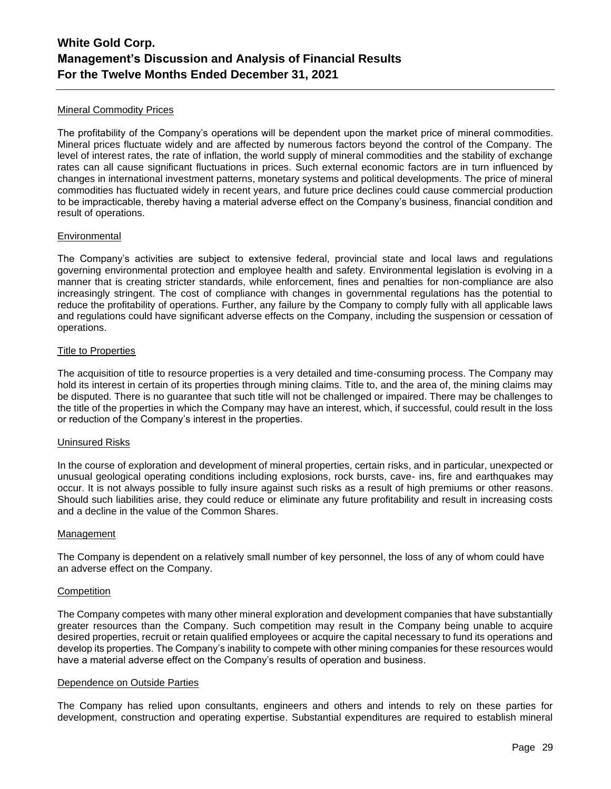# Mineral Commodity Prices

The profitability of the Company's operations will be dependent upon the market price of mineral commodities. Mineral prices fluctuate widely and are affected by numerous factors beyond the control of the Company. The level of interest rates, the rate of inflation, the world supply of mineral commodities and the stability of exchange rates can all cause significant fluctuations in prices. Such external economic factors are in turn influenced by changes in international investment patterns, monetary systems and political developments. The price of mineral commodities has fluctuated widely in recent years, and future price declines could cause commercial production to be impracticable, thereby having a material adverse effect on the Company's business, financial condition and result of operations.

#### Environmental

The Company's activities are subject to extensive federal, provincial state and local laws and regulations governing environmental protection and employee health and safety. Environmental legislation is evolving in a manner that is creating stricter standards, while enforcement, fines and penalties for non-compliance are also increasingly stringent. The cost of compliance with changes in governmental regulations has the potential to reduce the profitability of operations. Further, any failure by the Company to comply fully with all applicable laws and regulations could have significant adverse effects on the Company, including the suspension or cessation of operations.

# Title to Properties

The acquisition of title to resource properties is a very detailed and time-consuming process. The Company may hold its interest in certain of its properties through mining claims. Title to, and the area of, the mining claims may be disputed. There is no guarantee that such title will not be challenged or impaired. There may be challenges to the title of the properties in which the Company may have an interest, which, if successful, could result in the loss or reduction of the Company's interest in the properties.

# Uninsured Risks

In the course of exploration and development of mineral properties, certain risks, and in particular, unexpected or unusual geological operating conditions including explosions, rock bursts, cave- ins, fire and earthquakes may occur. It is not always possible to fully insure against such risks as a result of high premiums or other reasons. Should such liabilities arise, they could reduce or eliminate any future profitability and result in increasing costs and a decline in the value of the Common Shares.

#### Management

The Company is dependent on a relatively small number of key personnel, the loss of any of whom could have an adverse effect on the Company.

#### **Competition**

The Company competes with many other mineral exploration and development companies that have substantially greater resources than the Company. Such competition may result in the Company being unable to acquire desired properties, recruit or retain qualified employees or acquire the capital necessary to fund its operations and develop its properties. The Company's inability to compete with other mining companies for these resources would have a material adverse effect on the Company's results of operation and business.

#### Dependence on Outside Parties

The Company has relied upon consultants, engineers and others and intends to rely on these parties for development, construction and operating expertise. Substantial expenditures are required to establish mineral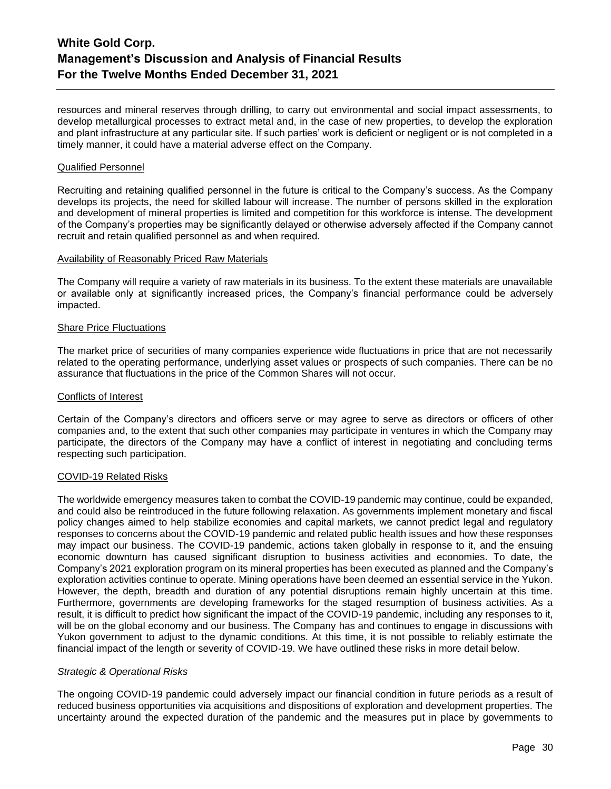resources and mineral reserves through drilling, to carry out environmental and social impact assessments, to develop metallurgical processes to extract metal and, in the case of new properties, to develop the exploration and plant infrastructure at any particular site. If such parties' work is deficient or negligent or is not completed in a timely manner, it could have a material adverse effect on the Company.

### Qualified Personnel

Recruiting and retaining qualified personnel in the future is critical to the Company's success. As the Company develops its projects, the need for skilled labour will increase. The number of persons skilled in the exploration and development of mineral properties is limited and competition for this workforce is intense. The development of the Company's properties may be significantly delayed or otherwise adversely affected if the Company cannot recruit and retain qualified personnel as and when required.

#### Availability of Reasonably Priced Raw Materials

The Company will require a variety of raw materials in its business. To the extent these materials are unavailable or available only at significantly increased prices, the Company's financial performance could be adversely impacted.

#### Share Price Fluctuations

The market price of securities of many companies experience wide fluctuations in price that are not necessarily related to the operating performance, underlying asset values or prospects of such companies. There can be no assurance that fluctuations in the price of the Common Shares will not occur.

#### Conflicts of Interest

Certain of the Company's directors and officers serve or may agree to serve as directors or officers of other companies and, to the extent that such other companies may participate in ventures in which the Company may participate, the directors of the Company may have a conflict of interest in negotiating and concluding terms respecting such participation.

# COVID-19 Related Risks

The worldwide emergency measures taken to combat the COVID-19 pandemic may continue, could be expanded, and could also be reintroduced in the future following relaxation. As governments implement monetary and fiscal policy changes aimed to help stabilize economies and capital markets, we cannot predict legal and regulatory responses to concerns about the COVID-19 pandemic and related public health issues and how these responses may impact our business. The COVID-19 pandemic, actions taken globally in response to it, and the ensuing economic downturn has caused significant disruption to business activities and economies. To date, the Company's 2021 exploration program on its mineral properties has been executed as planned and the Company's exploration activities continue to operate. Mining operations have been deemed an essential service in the Yukon. However, the depth, breadth and duration of any potential disruptions remain highly uncertain at this time. Furthermore, governments are developing frameworks for the staged resumption of business activities. As a result, it is difficult to predict how significant the impact of the COVID-19 pandemic, including any responses to it, will be on the global economy and our business. The Company has and continues to engage in discussions with Yukon government to adjust to the dynamic conditions. At this time, it is not possible to reliably estimate the financial impact of the length or severity of COVID-19. We have outlined these risks in more detail below.

# *Strategic & Operational Risks*

The ongoing COVID-19 pandemic could adversely impact our financial condition in future periods as a result of reduced business opportunities via acquisitions and dispositions of exploration and development properties. The uncertainty around the expected duration of the pandemic and the measures put in place by governments to